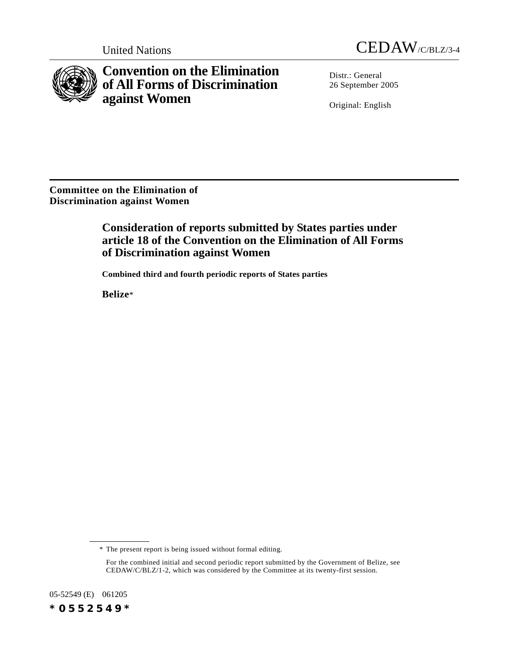



**Convention on the Elimination of All Forms of Discrimination against Women**

Distr.: General 26 September 2005

Original: English

**Committee on the Elimination of Discrimination against Women**

# **Consideration of reports submitted by States parties under article 18 of the Convention on the Elimination of All Forms of Discrimination against Women**

**Combined third and fourth periodic reports of States parties**

**Belize**\*

05-52549 (E) 061205 *\*0552549\**

<sup>\*</sup> The present report is being issued without formal editing.

For the combined initial and second periodic report submitted by the Government of Belize, see CEDAW/C/BLZ/1-2, which was considered by the Committee at its twenty-first session.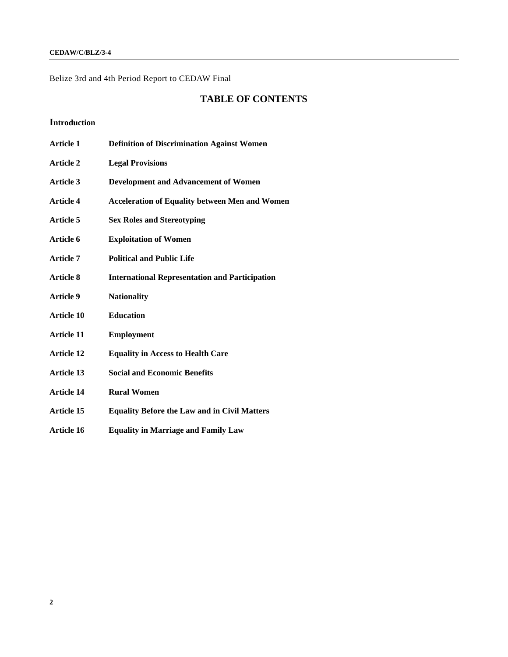Belize 3rd and 4th Period Report to CEDAW Final

# **TABLE OF CONTENTS**

# **Introduction**

| <b>Article 1</b>  | <b>Definition of Discrimination Against Women</b>     |
|-------------------|-------------------------------------------------------|
| <b>Article 2</b>  | <b>Legal Provisions</b>                               |
| <b>Article 3</b>  | <b>Development and Advancement of Women</b>           |
| Article 4         | <b>Acceleration of Equality between Men and Women</b> |
| <b>Article 5</b>  | <b>Sex Roles and Stereotyping</b>                     |
| Article 6         | <b>Exploitation of Women</b>                          |
| <b>Article 7</b>  | <b>Political and Public Life</b>                      |
| <b>Article 8</b>  | <b>International Representation and Participation</b> |
| Article 9         | <b>Nationality</b>                                    |
| <b>Article 10</b> | <b>Education</b>                                      |
| <b>Article 11</b> | <b>Employment</b>                                     |
| <b>Article 12</b> | <b>Equality in Access to Health Care</b>              |
| <b>Article 13</b> | <b>Social and Economic Benefits</b>                   |
| <b>Article 14</b> | <b>Rural Women</b>                                    |
| <b>Article 15</b> | <b>Equality Before the Law and in Civil Matters</b>   |
| <b>Article 16</b> | <b>Equality in Marriage and Family Law</b>            |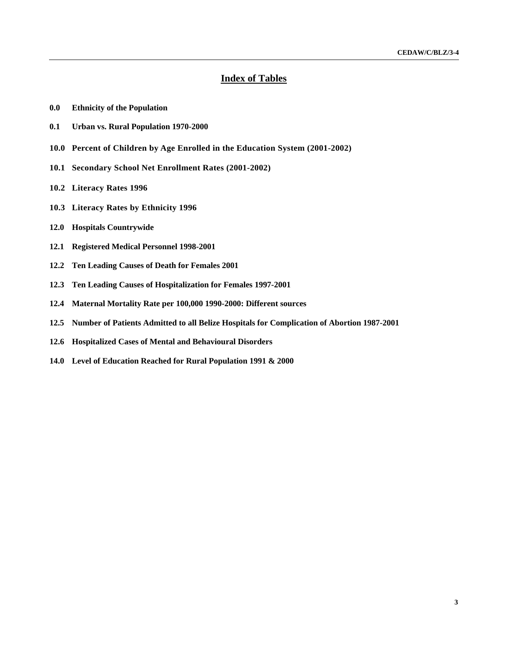# **Index of Tables**

- **0.0 Ethnicity of the Population**
- **0.1 Urban vs. Rural Population 1970-2000**
- **10.0 Percent of Children by Age Enrolled in the Education System (2001-2002)**
- **10.1 Secondary School Net Enrollment Rates (2001-2002)**
- **10.2 Literacy Rates 1996**
- **10.3 Literacy Rates by Ethnicity 1996**
- **12.0 Hospitals Countrywide**
- **12.1 Registered Medical Personnel 1998-2001**
- **12.2 Ten Leading Causes of Death for Females 2001**
- **12.3 Ten Leading Causes of Hospitalization for Females 1997-2001**
- **12.4 Maternal Mortality Rate per 100,000 1990-2000: Different sources**
- **12.5 Number of Patients Admitted to all Belize Hospitals for Complication of Abortion 1987-2001**
- **12.6 Hospitalized Cases of Mental and Behavioural Disorders**
- **14.0 Level of Education Reached for Rural Population 1991 & 2000**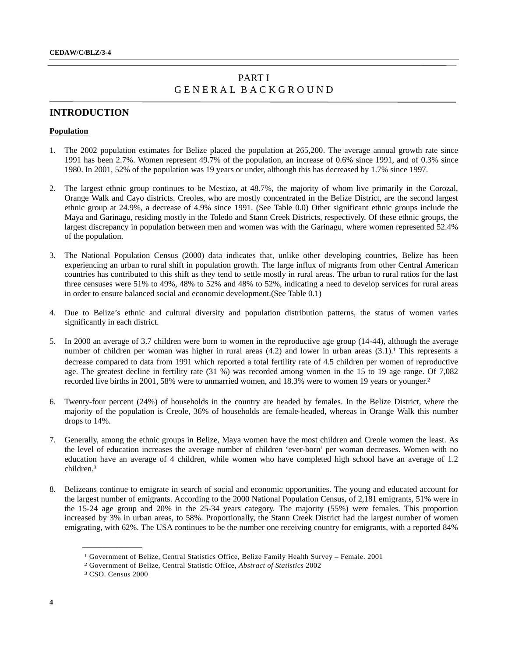# PART I G E N E R A L B A C K G R O U N D

# **INTRODUCTION**

## **Population**

- 1. The 2002 population estimates for Belize placed the population at 265,200. The average annual growth rate since 1991 has been 2.7%. Women represent 49.7% of the population, an increase of 0.6% since 1991, and of 0.3% since 1980. In 2001, 52% of the population was 19 years or under, although this has decreased by 1.7% since 1997.
- 2. The largest ethnic group continues to be Mestizo, at 48.7%, the majority of whom live primarily in the Corozal, Orange Walk and Cayo districts. Creoles, who are mostly concentrated in the Belize District, are the second largest ethnic group at 24.9%, a decrease of 4.9% since 1991. (See Table 0.0) Other significant ethnic groups include the Maya and Garinagu, residing mostly in the Toledo and Stann Creek Districts, respectively. Of these ethnic groups, the largest discrepancy in population between men and women was with the Garinagu, where women represented 52.4% of the population.
- 3. The National Population Census (2000) data indicates that, unlike other developing countries, Belize has been experiencing an urban to rural shift in population growth. The large influx of migrants from other Central American countries has contributed to this shift as they tend to settle mostly in rural areas. The urban to rural ratios for the last three censuses were 51% to 49%, 48% to 52% and 48% to 52%, indicating a need to develop services for rural areas in order to ensure balanced social and economic development.(See Table 0.1)
- 4. Due to Belize's ethnic and cultural diversity and population distribution patterns, the status of women varies significantly in each district.
- 5. In 2000 an average of 3.7 children were born to women in the reproductive age group (14-44), although the average number of children per woman was higher in rural areas  $(4.2)$  and lower in urban areas  $(3.1)$ .<sup>1</sup> This represents a decrease compared to data from 1991 which reported a total fertility rate of 4.5 children per women of reproductive age. The greatest decline in fertility rate (31 %) was recorded among women in the 15 to 19 age range. Of 7,082 recorded live births in 2001, 58% were to unmarried women, and 18.3% were to women 19 years or younger.2
- 6. Twenty-four percent (24%) of households in the country are headed by females. In the Belize District, where the majority of the population is Creole, 36% of households are female-headed, whereas in Orange Walk this number drops to 14%.
- 7. Generally, among the ethnic groups in Belize, Maya women have the most children and Creole women the least. As the level of education increases the average number of children 'ever-born' per woman decreases. Women with no education have an average of 4 children, while women who have completed high school have an average of 1.2 children.3
- 8. Belizeans continue to emigrate in search of social and economic opportunities. The young and educated account for the largest number of emigrants. According to the 2000 National Population Census, of 2,181 emigrants, 51% were in the 15-24 age group and 20% in the 25-34 years category. The majority (55%) were females. This proportion increased by 3% in urban areas, to 58%. Proportionally, the Stann Creek District had the largest number of women emigrating, with 62%. The USA continues to be the number one receiving country for emigrants, with a reported 84%

<sup>1</sup> Government of Belize, Central Statistics Office, Belize Family Health Survey – Female. 2001

<sup>2</sup> Government of Belize, Central Statistic Office, *Abstract of Statistics* 2002

<sup>3</sup> CSO. Census 2000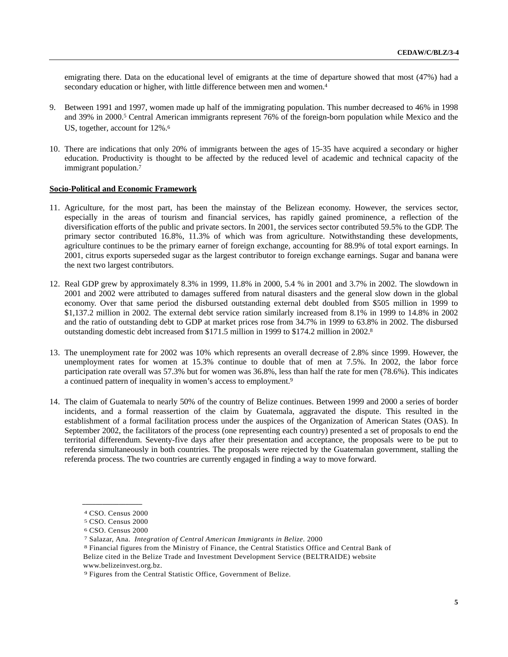emigrating there. Data on the educational level of emigrants at the time of departure showed that most (47%) had a secondary education or higher, with little difference between men and women.4

- 9. Between 1991 and 1997, women made up half of the immigrating population. This number decreased to 46% in 1998 and 39% in 2000.5 Central American immigrants represent 76% of the foreign-born population while Mexico and the US, together, account for  $12\%$ .<sup>6</sup>
- 10. There are indications that only 20% of immigrants between the ages of 15-35 have acquired a secondary or higher education. Productivity is thought to be affected by the reduced level of academic and technical capacity of the immigrant population.7

### **Socio-Political and Economic Framework**

- 11. Agriculture, for the most part, has been the mainstay of the Belizean economy. However, the services sector, especially in the areas of tourism and financial services, has rapidly gained prominence, a reflection of the diversification efforts of the public and private sectors. In 2001, the services sector contributed 59.5% to the GDP. The primary sector contributed 16.8%, 11.3% of which was from agriculture. Notwithstanding these developments, agriculture continues to be the primary earner of foreign exchange, accounting for 88.9% of total export earnings. In 2001, citrus exports superseded sugar as the largest contributor to foreign exchange earnings. Sugar and banana were the next two largest contributors.
- 12. Real GDP grew by approximately 8.3% in 1999, 11.8% in 2000, 5.4 % in 2001 and 3.7% in 2002. The slowdown in 2001 and 2002 were attributed to damages suffered from natural disasters and the general slow down in the global economy. Over that same period the disbursed outstanding external debt doubled from \$505 million in 1999 to \$1,137.2 million in 2002. The external debt service ration similarly increased from 8.1% in 1999 to 14.8% in 2002 and the ratio of outstanding debt to GDP at market prices rose from 34.7% in 1999 to 63.8% in 2002. The disbursed outstanding domestic debt increased from \$171.5 million in 1999 to \$174.2 million in 2002.8
- 13. The unemployment rate for 2002 was 10% which represents an overall decrease of 2.8% since 1999. However, the unemployment rates for women at 15.3% continue to double that of men at 7.5%. In 2002, the labor force participation rate overall was 57.3% but for women was 36.8%, less than half the rate for men (78.6%). This indicates a continued pattern of inequality in women's access to employment.9
- 14. The claim of Guatemala to nearly 50% of the country of Belize continues. Between 1999 and 2000 a series of border incidents, and a formal reassertion of the claim by Guatemala, aggravated the dispute. This resulted in the establishment of a formal facilitation process under the auspices of the Organization of American States (OAS). In September 2002, the facilitators of the process (one representing each country) presented a set of proposals to end the territorial differendum. Seventy-five days after their presentation and acceptance, the proposals were to be put to referenda simultaneously in both countries. The proposals were rejected by the Guatemalan government, stalling the referenda process. The two countries are currently engaged in finding a way to move forward.

**\_\_\_\_\_\_\_\_\_\_\_\_\_\_\_\_\_\_** 4 CSO. Census 2000

<sup>5</sup> CSO. Census 2000

<sup>6</sup> CSO. Census 2000

<sup>7</sup> Salazar, Ana. *Integration of Central American Immigrants in Belize*. 2000

<sup>8</sup> Financial figures from the Ministry of Finance, the Central Statistics Office and Central Bank of Belize cited in the Belize Trade and Investment Development Service (BELTRAIDE) website www.belizeinvest.org.bz.

<sup>9</sup> Figures from the Central Statistic Office, Government of Belize.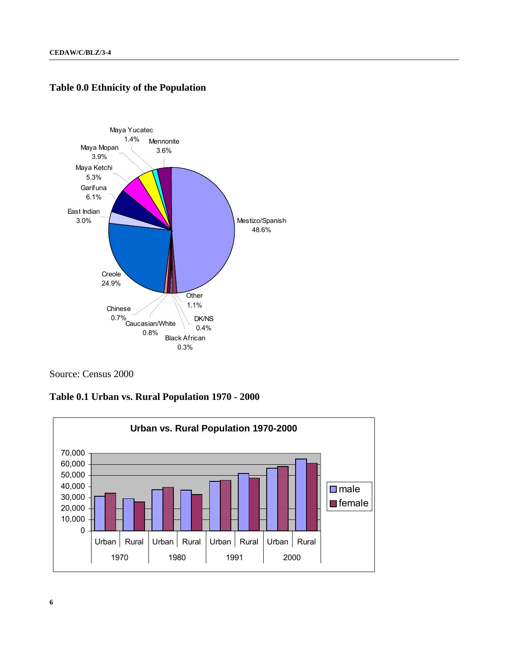

# **Table 0.0 Ethnicity of the Population**

Source: Census 2000

**Table 0.1 Urban vs. Rural Population 1970 - 2000**



**6**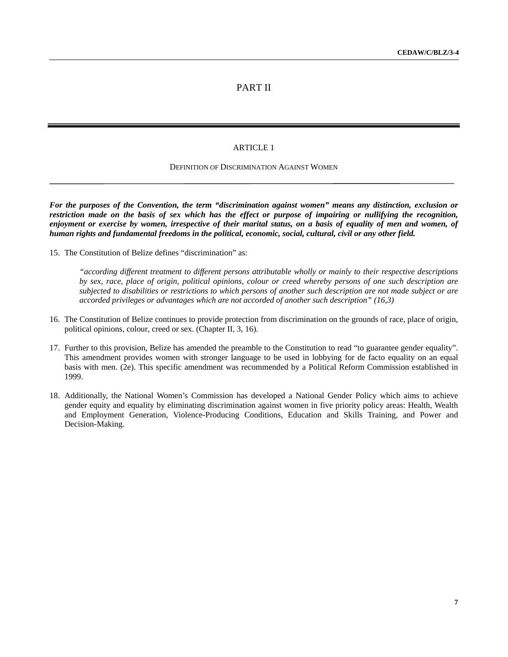# PART II

## ARTICLE 1

#### DEFINITION OF DISCRIMINATION AGAINST WOMEN

*For the purposes of the Convention, the term "discrimination against women" means any distinction, exclusion or restriction made on the basis of sex which has the effect or purpose of impairing or nullifying the recognition, enjoyment or exercise by women, irrespective of their marital status, on a basis of equality of men and women, of human rights and fundamental freedoms in the political, economic, social, cultural, civil or any other field.*

15. The Constitution of Belize defines "discrimination" as:

*"according different treatment to different persons attributable wholly or mainly to their respective descriptions by sex, race, place of origin, political opinions, colour or creed whereby persons of one such description are subjected to disabilities or restrictions to which persons of another such description are not made subject or are accorded privileges or advantages which are not accorded of another such description" (16,3)*

- 16. The Constitution of Belize continues to provide protection from discrimination on the grounds of race, place of origin, political opinions, colour, creed or sex. (Chapter II, 3, 16).
- 17. Further to this provision, Belize has amended the preamble to the Constitution to read "to guarantee gender equality". This amendment provides women with stronger language to be used in lobbying for de facto equality on an equal basis with men. (2e). This specific amendment was recommended by a Political Reform Commission established in 1999.
- 18. Additionally, the National Women's Commission has developed a National Gender Policy which aims to achieve gender equity and equality by eliminating discrimination against women in five priority policy areas: Health, Wealth and Employment Generation, Violence-Producing Conditions, Education and Skills Training, and Power and Decision-Making.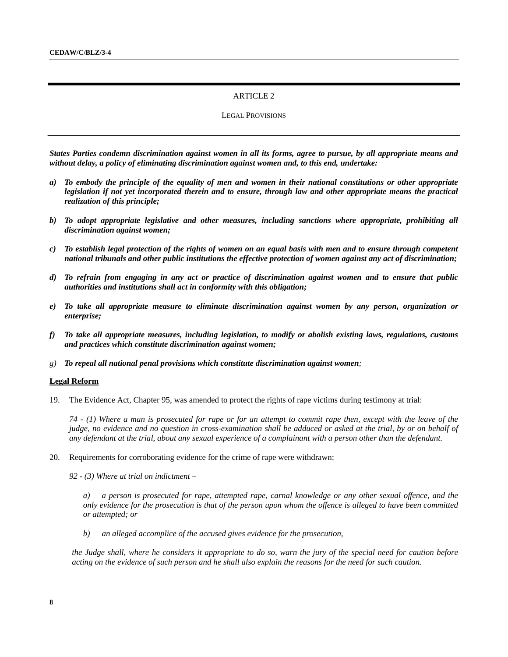#### LEGAL PROVISIONS

*States Parties condemn discrimination against women in all its forms, agree to pursue, by all appropriate means and without delay, a policy of eliminating discrimination against women and, to this end, undertake:*

- *a) To embody the principle of the equality of men and women in their national constitutions or other appropriate legislation if not yet incorporated therein and to ensure, through law and other appropriate means the practical realization of this principle;*
- *b) To adopt appropriate legislative and other measures, including sanctions where appropriate, prohibiting all discrimination against women;*
- *c) To establish legal protection of the rights of women on an equal basis with men and to ensure through competent national tribunals and other public institutions the effective protection of women against any act of discrimination;*
- *d) To refrain from engaging in any act or practice of discrimination against women and to ensure that public authorities and institutions shall act in conformity with this obligation;*
- *e) To take all appropriate measure to eliminate discrimination against women by any person, organization or enterprise;*
- *f) To take all appropriate measures, including legislation, to modify or abolish existing laws, regulations, customs and practices which constitute discrimination against women;*
- *g) To repeal all national penal provisions which constitute discrimination against women;*

#### **Legal Reform**

19. The Evidence Act, Chapter 95, was amended to protect the rights of rape victims during testimony at trial:

*74 - (1) Where a man is prosecuted for rape or for an attempt to commit rape then, except with the leave of the judge, no evidence and no question in cross-examination shall be adduced or asked at the trial, by or on behalf of any defendant at the trial, about any sexual experience of a complainant with a person other than the defendant.*

20. Requirements for corroborating evidence for the crime of rape were withdrawn:

*92 - (3) Where at trial on indictment –*

*a) a person is prosecuted for rape, attempted rape, carnal knowledge or any other sexual offence, and the only evidence for the prosecution is that of the person upon whom the offence is alleged to have been committed or attempted; or*

*b) an alleged accomplice of the accused gives evidence for the prosecution,*

*the Judge shall, where he considers it appropriate to do so, warn the jury of the special need for caution before acting on the evidence of such person and he shall also explain the reasons for the need for such caution.*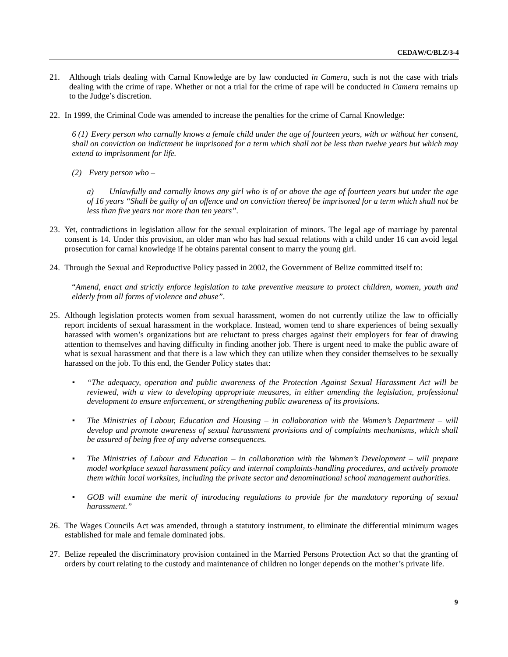- 21. Although trials dealing with Carnal Knowledge are by law conducted *in Camera,* such is not the case with trials dealing with the crime of rape. Whether or not a trial for the crime of rape will be conducted *in Camera* remains up to the Judge's discretion.
- 22. In 1999, the Criminal Code was amended to increase the penalties for the crime of Carnal Knowledge:

*6 (1) Every person who carnally knows a female child under the age of fourteen years, with or without her consent, shall on conviction on indictment be imprisoned for a term which shall not be less than twelve years but which may extend to imprisonment for life.*

*(2) Every person who –*

*a) Unlawfully and carnally knows any girl who is of or above the age of fourteen years but under the age of 16 years "Shall be guilty of an offence and on conviction thereof be imprisoned for a term which shall not be less than five years nor more than ten years".*

- 23. Yet, contradictions in legislation allow for the sexual exploitation of minors. The legal age of marriage by parental consent is 14. Under this provision, an older man who has had sexual relations with a child under 16 can avoid legal prosecution for carnal knowledge if he obtains parental consent to marry the young girl.
- 24. Through the Sexual and Reproductive Policy passed in 2002, the Government of Belize committed itself to:

"*Amend, enact and strictly enforce legislation to take preventive measure to protect children, women, youth and elderly from all forms of violence and abuse".*

- 25. Although legislation protects women from sexual harassment, women do not currently utilize the law to officially report incidents of sexual harassment in the workplace. Instead, women tend to share experiences of being sexually harassed with women's organizations but are reluctant to press charges against their employers for fear of drawing attention to themselves and having difficulty in finding another job. There is urgent need to make the public aware of what is sexual harassment and that there is a law which they can utilize when they consider themselves to be sexually harassed on the job. To this end, the Gender Policy states that:
	- *"The adequacy, operation and public awareness of the Protection Against Sexual Harassment Act will be reviewed, with a view to developing appropriate measures, in either amending the legislation, professional development to ensure enforcement, or strengthening public awareness of its provisions.*
	- The Ministries of Labour, Education and Housing in collaboration with the Women's Department will *develop and promote awareness of sexual harassment provisions and of complaints mechanisms, which shall be assured of being free of any adverse consequences.*
	- The Ministries of Labour and Education in collaboration with the Women's Development will prepare *model workplace sexual harassment policy and internal complaints-handling procedures, and actively promote them within local worksites, including the private sector and denominational school management authorities.*
	- GOB will examine the merit of introducing regulations to provide for the mandatory reporting of sexual *harassment."*
- 26. The Wages Councils Act was amended, through a statutory instrument, to eliminate the differential minimum wages established for male and female dominated jobs.
- 27. Belize repealed the discriminatory provision contained in the Married Persons Protection Act so that the granting of orders by court relating to the custody and maintenance of children no longer depends on the mother's private life.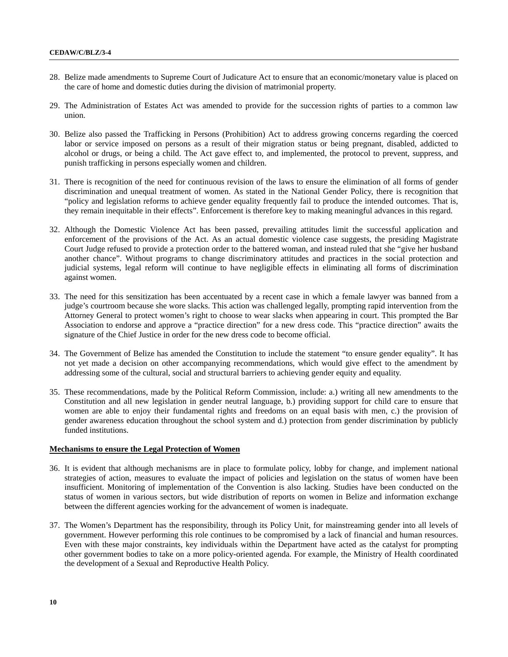- 28. Belize made amendments to Supreme Court of Judicature Act to ensure that an economic/monetary value is placed on the care of home and domestic duties during the division of matrimonial property.
- 29. The Administration of Estates Act was amended to provide for the succession rights of parties to a common law union.
- 30. Belize also passed the Trafficking in Persons (Prohibition) Act to address growing concerns regarding the coerced labor or service imposed on persons as a result of their migration status or being pregnant, disabled, addicted to alcohol or drugs, or being a child. The Act gave effect to, and implemented, the protocol to prevent, suppress, and punish trafficking in persons especially women and children.
- 31. There is recognition of the need for continuous revision of the laws to ensure the elimination of all forms of gender discrimination and unequal treatment of women. As stated in the National Gender Policy, there is recognition that "policy and legislation reforms to achieve gender equality frequently fail to produce the intended outcomes. That is, they remain inequitable in their effects". Enforcement is therefore key to making meaningful advances in this regard.
- 32. Although the Domestic Violence Act has been passed, prevailing attitudes limit the successful application and enforcement of the provisions of the Act. As an actual domestic violence case suggests, the presiding Magistrate Court Judge refused to provide a protection order to the battered woman, and instead ruled that she "give her husband another chance". Without programs to change discriminatory attitudes and practices in the social protection and judicial systems, legal reform will continue to have negligible effects in eliminating all forms of discrimination against women.
- 33. The need for this sensitization has been accentuated by a recent case in which a female lawyer was banned from a judge's courtroom because she wore slacks. This action was challenged legally, prompting rapid intervention from the Attorney General to protect women's right to choose to wear slacks when appearing in court. This prompted the Bar Association to endorse and approve a "practice direction" for a new dress code. This "practice direction" awaits the signature of the Chief Justice in order for the new dress code to become official.
- 34. The Government of Belize has amended the Constitution to include the statement "to ensure gender equality". It has not yet made a decision on other accompanying recommendations, which would give effect to the amendment by addressing some of the cultural, social and structural barriers to achieving gender equity and equality.
- 35. These recommendations, made by the Political Reform Commission, include: a.) writing all new amendments to the Constitution and all new legislation in gender neutral language, b.) providing support for child care to ensure that women are able to enjoy their fundamental rights and freedoms on an equal basis with men, c.) the provision of gender awareness education throughout the school system and d.) protection from gender discrimination by publicly funded institutions.

#### **Mechanisms to ensure the Legal Protection of Women**

- 36. It is evident that although mechanisms are in place to formulate policy, lobby for change, and implement national strategies of action, measures to evaluate the impact of policies and legislation on the status of women have been insufficient. Monitoring of implementation of the Convention is also lacking. Studies have been conducted on the status of women in various sectors, but wide distribution of reports on women in Belize and information exchange between the different agencies working for the advancement of women is inadequate.
- 37. The Women's Department has the responsibility, through its Policy Unit, for mainstreaming gender into all levels of government. However performing this role continues to be compromised by a lack of financial and human resources. Even with these major constraints, key individuals within the Department have acted as the catalyst for prompting other government bodies to take on a more policy-oriented agenda. For example, the Ministry of Health coordinated the development of a Sexual and Reproductive Health Policy.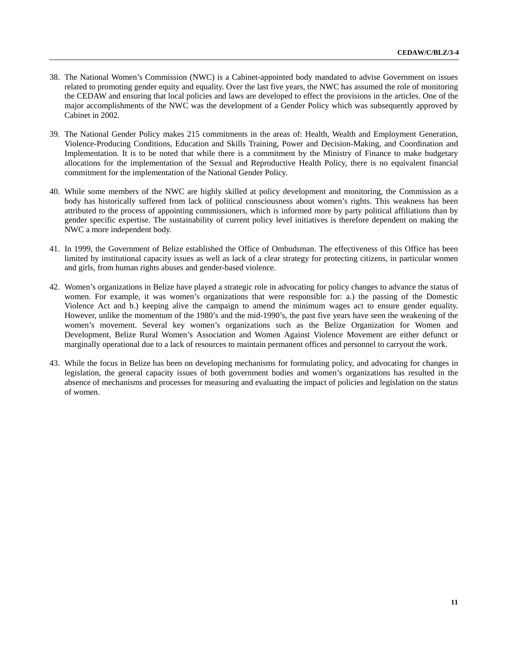- 38. The National Women's Commission (NWC) is a Cabinet-appointed body mandated to advise Government on issues related to promoting gender equity and equality. Over the last five years, the NWC has assumed the role of monitoring the CEDAW and ensuring that local policies and laws are developed to effect the provisions in the articles. One of the major accomplishments of the NWC was the development of a Gender Policy which was subsequently approved by Cabinet in 2002.
- 39. The National Gender Policy makes 215 commitments in the areas of: Health, Wealth and Employment Generation, Violence-Producing Conditions, Education and Skills Training, Power and Decision-Making, and Coordination and Implementation. It is to be noted that while there is a commitment by the Ministry of Finance to make budgetary allocations for the implementation of the Sexual and Reproductive Health Policy, there is no equivalent financial commitment for the implementation of the National Gender Policy.
- 40. While some members of the NWC are highly skilled at policy development and monitoring, the Commission as a body has historically suffered from lack of political consciousness about women's rights. This weakness has been attributed to the process of appointing commissioners, which is informed more by party political affiliations than by gender specific expertise. The sustainability of current policy level initiatives is therefore dependent on making the NWC a more independent body.
- 41. In 1999, the Government of Belize established the Office of Ombudsman. The effectiveness of this Office has been limited by institutional capacity issues as well as lack of a clear strategy for protecting citizens, in particular women and girls, from human rights abuses and gender-based violence.
- 42. Women's organizations in Belize have played a strategic role in advocating for policy changes to advance the status of women. For example, it was women's organizations that were responsible for: a.) the passing of the Domestic Violence Act and b.) keeping alive the campaign to amend the minimum wages act to ensure gender equality. However, unlike the momentum of the 1980's and the mid-1990's, the past five years have seen the weakening of the women's movement. Several key women's organizations such as the Belize Organization for Women and Development, Belize Rural Women's Association and Women Against Violence Movement are either defunct or marginally operational due to a lack of resources to maintain permanent offices and personnel to carryout the work.
- 43. While the focus in Belize has been on developing mechanisms for formulating policy, and advocating for changes in legislation, the general capacity issues of both government bodies and women's organizations has resulted in the absence of mechanisms and processes for measuring and evaluating the impact of policies and legislation on the status of women.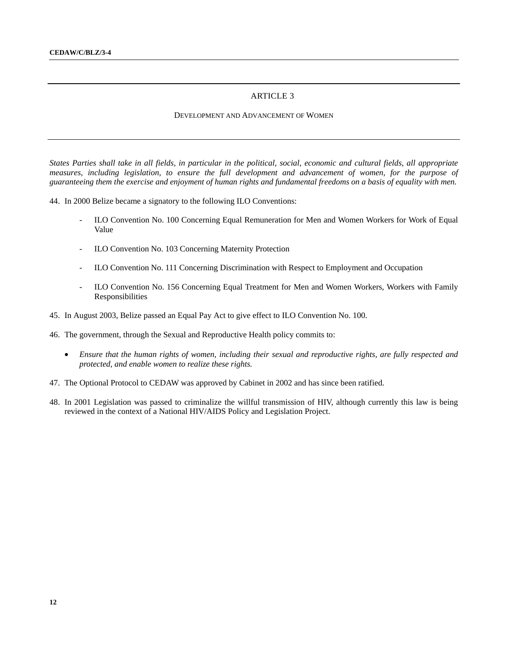#### DEVELOPMENT AND ADVANCEMENT OF WOMEN

*States Parties shall take in all fields, in particular in the political, social, economic and cultural fields, all appropriate measures, including legislation, to ensure the full development and advancement of women, for the purpose of guaranteeing them the exercise and enjoyment of human rights and fundamental freedoms on a basis of equality with men.*

44. In 2000 Belize became a signatory to the following ILO Conventions:

- ILO Convention No. 100 Concerning Equal Remuneration for Men and Women Workers for Work of Equal Value
- ILO Convention No. 103 Concerning Maternity Protection
- ILO Convention No. 111 Concerning Discrimination with Respect to Employment and Occupation
- ILO Convention No. 156 Concerning Equal Treatment for Men and Women Workers, Workers with Family Responsibilities
- 45. In August 2003, Belize passed an Equal Pay Act to give effect to ILO Convention No. 100.
- 46. The government, through the Sexual and Reproductive Health policy commits to:
	- *Ensure that the human rights of women, including their sexual and reproductive rights, are fully respected and protected, and enable women to realize these rights.*
- 47. The Optional Protocol to CEDAW was approved by Cabinet in 2002 and has since been ratified.
- 48. In 2001 Legislation was passed to criminalize the willful transmission of HIV, although currently this law is being reviewed in the context of a National HIV/AIDS Policy and Legislation Project.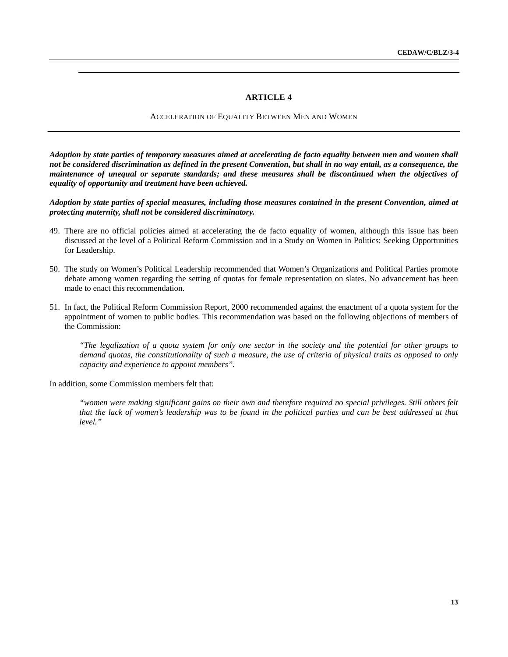## ACCELERATION OF EQUALITY BETWEEN MEN AND WOMEN

*Adoption by state parties of temporary measures aimed at accelerating de facto equality between men and women shall not be considered discrimination as defined in the present Convention, but shall in no way entail, as a consequence, the maintenance of unequal or separate standards; and these measures shall be discontinued when the objectives of equality of opportunity and treatment have been achieved.*

*Adoption by state parties of special measures, including those measures contained in the present Convention, aimed at protecting maternity, shall not be considered discriminatory.*

- 49. There are no official policies aimed at accelerating the de facto equality of women, although this issue has been discussed at the level of a Political Reform Commission and in a Study on Women in Politics: Seeking Opportunities for Leadership.
- 50. The study on Women's Political Leadership recommended that Women's Organizations and Political Parties promote debate among women regarding the setting of quotas for female representation on slates. No advancement has been made to enact this recommendation.
- 51. In fact, the Political Reform Commission Report, 2000 recommended against the enactment of a quota system for the appointment of women to public bodies. This recommendation was based on the following objections of members of the Commission:

*"The legalization of a quota system for only one sector in the society and the potential for other groups to demand quotas, the constitutionality of such a measure, the use of criteria of physical traits as opposed to only capacity and experience to appoint members".*

In addition, some Commission members felt that:

*"women were making significant gains on their own and therefore required no special privileges. Still others felt that the lack of women's leadership was to be found in the political parties and can be best addressed at that level."*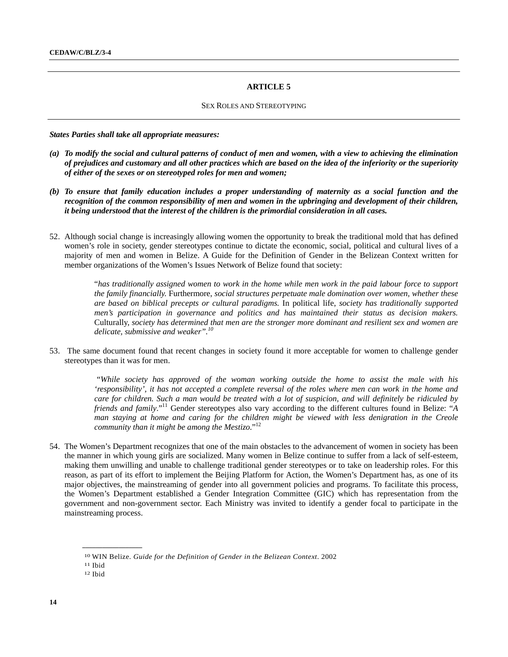# SEX ROLES AND STEREOTYPING

*States Parties shall take all appropriate measures:*

- *(a) To modify the social and cultural patterns of conduct of men and women, with a view to achieving the elimination of prejudices and customary and all other practices which are based on the idea of the inferiority or the superiority of either of the sexes or on stereotyped roles for men and women;*
- *(b) To ensure that family education includes a proper understanding of maternity as a social function and the recognition of the common responsibility of men and women in the upbringing and development of their children, it being understood that the interest of the children is the primordial consideration in all cases.*
- 52. Although social change is increasingly allowing women the opportunity to break the traditional mold that has defined women's role in society, gender stereotypes continue to dictate the economic, social, political and cultural lives of a majority of men and women in Belize. A Guide for the Definition of Gender in the Belizean Context written for member organizations of the Women's Issues Network of Belize found that society:

"*has traditionally assigned women to work in the home while men work in the paid labour force to support the family financially.* Furthermore, *social structures perpetuate male domination over women, whether these are based on biblical precepts or cultural paradigms.* In political life, *society has traditionally supported men's participation in governance and politics and has maintained their status as decision makers.* Culturally, *society has determined that men are the stronger more dominant and resilient sex and women are delicate, submissive and weaker".10*

53. The same document found that recent changes in society found it more acceptable for women to challenge gender stereotypes than it was for men.

> "*While society has approved of the woman working outside the home to assist the male with his 'responsibility', it has not accepted a complete reversal of the roles where men can work in the home and care for children. Such a man would be treated with a lot of suspicion, and will definitely be ridiculed by friends and family*."11 Gender stereotypes also vary according to the different cultures found in Belize: "*A man staying at home and caring for the children might be viewed with less denigration in the Creole community than it might be among the Mestizo*."12

54. The Women's Department recognizes that one of the main obstacles to the advancement of women in society has been the manner in which young girls are socialized. Many women in Belize continue to suffer from a lack of self-esteem, making them unwilling and unable to challenge traditional gender stereotypes or to take on leadership roles. For this reason, as part of its effort to implement the Beijing Platform for Action, the Women's Department has, as one of its major objectives, the mainstreaming of gender into all government policies and programs. To facilitate this process, the Women's Department established a Gender Integration Committee (GIC) which has representation from the government and non-government sector. Each Ministry was invited to identify a gender focal to participate in the mainstreaming process.

<sup>10</sup> WIN Belize. *Guide for the Definition of Gender in the Belizean Context*. 2002

<sup>11</sup> Ibid

<sup>12</sup> Ibid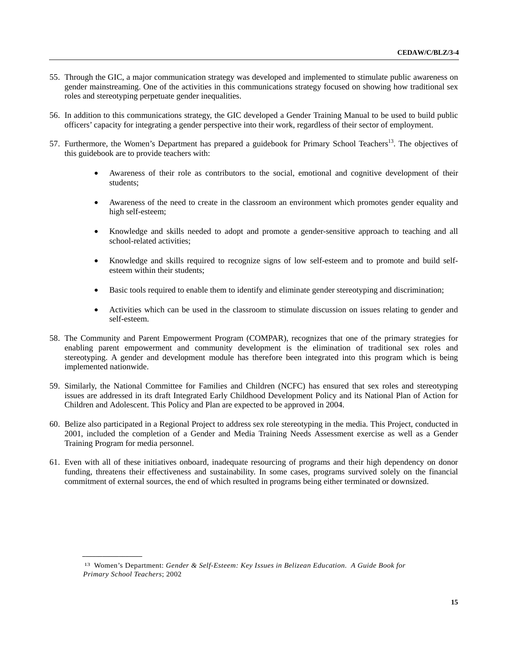- 55. Through the GIC, a major communication strategy was developed and implemented to stimulate public awareness on gender mainstreaming. One of the activities in this communications strategy focused on showing how traditional sex roles and stereotyping perpetuate gender inequalities.
- 56. In addition to this communications strategy, the GIC developed a Gender Training Manual to be used to build public officers' capacity for integrating a gender perspective into their work, regardless of their sector of employment.
- 57. Furthermore, the Women's Department has prepared a guidebook for Primary School Teachers<sup>13</sup>. The objectives of this guidebook are to provide teachers with:
	- Awareness of their role as contributors to the social, emotional and cognitive development of their students;
	- Awareness of the need to create in the classroom an environment which promotes gender equality and high self-esteem;
	- Knowledge and skills needed to adopt and promote a gender-sensitive approach to teaching and all school-related activities;
	- Knowledge and skills required to recognize signs of low self-esteem and to promote and build selfesteem within their students;
	- Basic tools required to enable them to identify and eliminate gender stereotyping and discrimination;
	- Activities which can be used in the classroom to stimulate discussion on issues relating to gender and self-esteem.
- 58. The Community and Parent Empowerment Program (COMPAR), recognizes that one of the primary strategies for enabling parent empowerment and community development is the elimination of traditional sex roles and stereotyping. A gender and development module has therefore been integrated into this program which is being implemented nationwide.
- 59. Similarly, the National Committee for Families and Children (NCFC) has ensured that sex roles and stereotyping issues are addressed in its draft Integrated Early Childhood Development Policy and its National Plan of Action for Children and Adolescent. This Policy and Plan are expected to be approved in 2004.
- 60. Belize also participated in a Regional Project to address sex role stereotyping in the media. This Project, conducted in 2001, included the completion of a Gender and Media Training Needs Assessment exercise as well as a Gender Training Program for media personnel.
- 61. Even with all of these initiatives onboard, inadequate resourcing of programs and their high dependency on donor funding, threatens their effectiveness and sustainability. In some cases, programs survived solely on the financial commitment of external sources, the end of which resulted in programs being either terminated or downsized.

<sup>13</sup> Women's Department: *Gender & Self-Esteem: Key Issues in Belizean Education. A Guide Book for Primary School Teachers*; 2002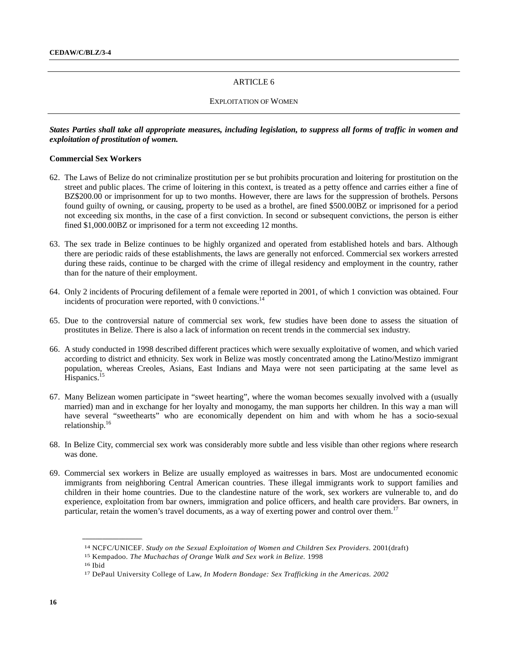## EXPLOITATION OF WOMEN

## *States Parties shall take all appropriate measures, including legislation, to suppress all forms of traffic in women and exploitation of prostitution of women.*

#### **Commercial Sex Workers**

- 62. The Laws of Belize do not criminalize prostitution per se but prohibits procuration and loitering for prostitution on the street and public places. The crime of loitering in this context, is treated as a petty offence and carries either a fine of BZ\$200.00 or imprisonment for up to two months. However, there are laws for the suppression of brothels. Persons found guilty of owning, or causing, property to be used as a brothel, are fined \$500.00BZ or imprisoned for a period not exceeding six months, in the case of a first conviction. In second or subsequent convictions, the person is either fined \$1,000.00BZ or imprisoned for a term not exceeding 12 months.
- 63. The sex trade in Belize continues to be highly organized and operated from established hotels and bars. Although there are periodic raids of these establishments, the laws are generally not enforced. Commercial sex workers arrested during these raids, continue to be charged with the crime of illegal residency and employment in the country, rather than for the nature of their employment.
- 64. Only 2 incidents of Procuring defilement of a female were reported in 2001, of which 1 conviction was obtained. Four incidents of procuration were reported, with 0 convictions.<sup>14</sup>
- 65. Due to the controversial nature of commercial sex work, few studies have been done to assess the situation of prostitutes in Belize. There is also a lack of information on recent trends in the commercial sex industry.
- 66. A study conducted in 1998 described different practices which were sexually exploitative of women, and which varied according to district and ethnicity. Sex work in Belize was mostly concentrated among the Latino/Mestizo immigrant population, whereas Creoles, Asians, East Indians and Maya were not seen participating at the same level as Hispanics.<sup>15</sup>
- 67. Many Belizean women participate in "sweet hearting", where the woman becomes sexually involved with a (usually married) man and in exchange for her loyalty and monogamy, the man supports her children. In this way a man will have several "sweethearts" who are economically dependent on him and with whom he has a socio-sexual relationship.16
- 68. In Belize City, commercial sex work was considerably more subtle and less visible than other regions where research was done.
- 69. Commercial sex workers in Belize are usually employed as waitresses in bars. Most are undocumented economic immigrants from neighboring Central American countries. These illegal immigrants work to support families and children in their home countries. Due to the clandestine nature of the work, sex workers are vulnerable to, and do experience, exploitation from bar owners, immigration and police officers, and health care providers. Bar owners, in particular, retain the women's travel documents, as a way of exerting power and control over them.<sup>17</sup>

<sup>14</sup> NCFC/UNICEF*. Study on the Sexual Exploitation of Women and Children Sex Providers*. 2001(draft)

<sup>15</sup> Kempadoo. *The Muchachas of Orange Walk and Sex work in Belize.* 1998 16 Ibid

<sup>17</sup> DePaul University College of Law, *In Modern Bondage: Sex Trafficking in the Americas. 2002*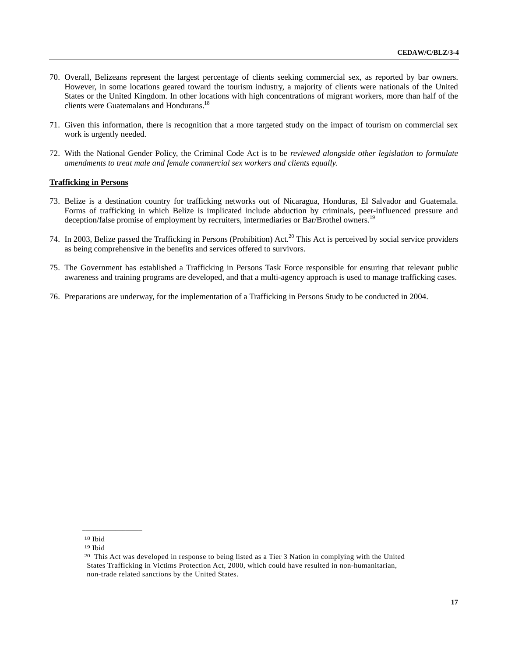- 70. Overall, Belizeans represent the largest percentage of clients seeking commercial sex, as reported by bar owners. However, in some locations geared toward the tourism industry, a majority of clients were nationals of the United States or the United Kingdom. In other locations with high concentrations of migrant workers, more than half of the clients were Guatemalans and Hondurans.<sup>18</sup>
- 71. Given this information, there is recognition that a more targeted study on the impact of tourism on commercial sex work is urgently needed.
- 72. With the National Gender Policy, the Criminal Code Act is to be *reviewed alongside other legislation to formulate amendments to treat male and female commercial sex workers and clients equally.*

# **Trafficking in Persons**

- 73. Belize is a destination country for trafficking networks out of Nicaragua, Honduras, El Salvador and Guatemala. Forms of trafficking in which Belize is implicated include abduction by criminals, peer-influenced pressure and deception/false promise of employment by recruiters, intermediaries or Bar/Brothel owners.<sup>19</sup>
- 74. In 2003, Belize passed the Trafficking in Persons (Prohibition) Act.<sup>20</sup> This Act is perceived by social service providers as being comprehensive in the benefits and services offered to survivors.
- 75. The Government has established a Trafficking in Persons Task Force responsible for ensuring that relevant public awareness and training programs are developed, and that a multi-agency approach is used to manage trafficking cases.
- 76. Preparations are underway, for the implementation of a Trafficking in Persons Study to be conducted in 2004.

<sup>18</sup> Ibid

<sup>19</sup> Ibid

<sup>20</sup> This Act was developed in response to being listed as a Tier 3 Nation in complying with the United States Trafficking in Victims Protection Act, 2000, which could have resulted in non-humanitarian, non-trade related sanctions by the United States.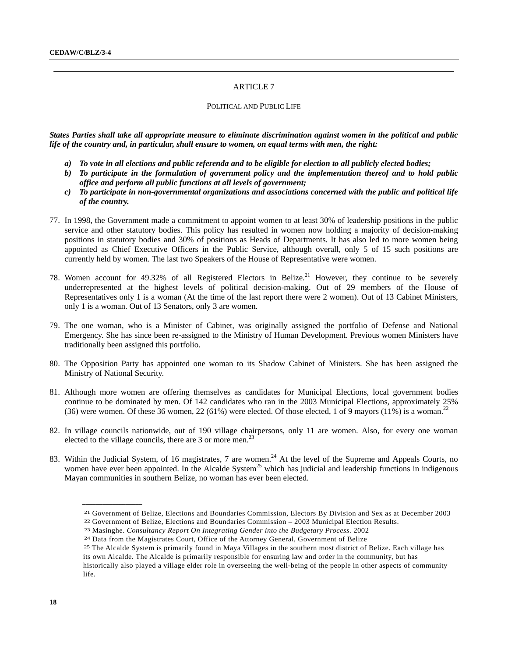### POLITICAL AND PUBLIC LIFE

*States Parties shall take all appropriate measure to eliminate discrimination against women in the political and public life of the country and, in particular, shall ensure to women, on equal terms with men, the right:*

- *a) To vote in all elections and public referenda and to be eligible for election to all publicly elected bodies;*
- *b) To participate in the formulation of government policy and the implementation thereof and to hold public office and perform all public functions at all levels of government;*
- *c) To participate in non-governmental organizations and associations concerned with the public and political life of the country.*
- 77. In 1998, the Government made a commitment to appoint women to at least 30% of leadership positions in the public service and other statutory bodies. This policy has resulted in women now holding a majority of decision-making positions in statutory bodies and 30% of positions as Heads of Departments. It has also led to more women being appointed as Chief Executive Officers in the Public Service, although overall, only 5 of 15 such positions are currently held by women. The last two Speakers of the House of Representative were women.
- 78. Women account for 49.32% of all Registered Electors in Belize.<sup>21</sup> However, they continue to be severely underrepresented at the highest levels of political decision-making. Out of 29 members of the House of Representatives only 1 is a woman (At the time of the last report there were 2 women). Out of 13 Cabinet Ministers, only 1 is a woman. Out of 13 Senators, only 3 are women.
- 79. The one woman, who is a Minister of Cabinet, was originally assigned the portfolio of Defense and National Emergency. She has since been re-assigned to the Ministry of Human Development. Previous women Ministers have traditionally been assigned this portfolio.
- 80. The Opposition Party has appointed one woman to its Shadow Cabinet of Ministers. She has been assigned the Ministry of National Security.
- 81. Although more women are offering themselves as candidates for Municipal Elections, local government bodies continue to be dominated by men. Of 142 candidates who ran in the 2003 Municipal Elections, approximately 25% (36) were women. Of these 36 women, 22 (61%) were elected. Of those elected, 1 of 9 mayors (11%) is a woman.<sup>22</sup>
- 82. In village councils nationwide, out of 190 village chairpersons, only 11 are women. Also, for every one woman elected to the village councils, there are 3 or more men.<sup>23</sup>
- 83. Within the Judicial System, of 16 magistrates, 7 are women.<sup>24</sup> At the level of the Supreme and Appeals Courts, no women have ever been appointed. In the Alcalde System<sup>25</sup> which has judicial and leadership functions in indigenous Mayan communities in southern Belize, no woman has ever been elected.

<sup>21</sup> Government of Belize, Elections and Boundaries Commission, Electors By Division and Sex as at December 2003

<sup>22</sup> Government of Belize, Elections and Boundaries Commission – 2003 Municipal Election Results.

<sup>23</sup> Masinghe. *Consultancy Report On Integrating Gender into the Budgetary Process*. 2002

<sup>24</sup> Data from the Magistrates Court, Office of the Attorney General, Government of Belize

<sup>25</sup> The Alcalde System is primarily found in Maya Villages in the southern most district of Belize. Each village has its own Alcalde. The Alcalde is primarily responsible for ensuring law and order in the community, but has historically also played a village elder role in overseeing the well-being of the people in other aspects of community life.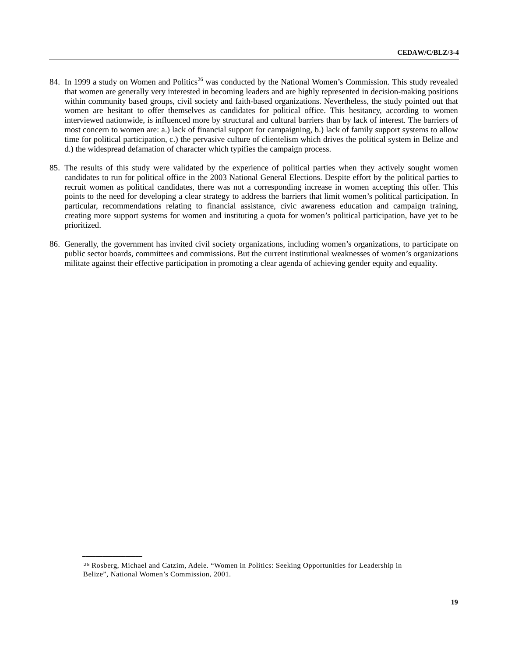- 84. In 1999 a study on Women and Politics<sup>26</sup> was conducted by the National Women's Commission. This study revealed that women are generally very interested in becoming leaders and are highly represented in decision-making positions within community based groups, civil society and faith-based organizations. Nevertheless, the study pointed out that women are hesitant to offer themselves as candidates for political office. This hesitancy, according to women interviewed nationwide, is influenced more by structural and cultural barriers than by lack of interest. The barriers of most concern to women are: a.) lack of financial support for campaigning, b.) lack of family support systems to allow time for political participation, c.) the pervasive culture of clientelism which drives the political system in Belize and d.) the widespread defamation of character which typifies the campaign process.
- 85. The results of this study were validated by the experience of political parties when they actively sought women candidates to run for political office in the 2003 National General Elections. Despite effort by the political parties to recruit women as political candidates, there was not a corresponding increase in women accepting this offer. This points to the need for developing a clear strategy to address the barriers that limit women's political participation. In particular, recommendations relating to financial assistance, civic awareness education and campaign training, creating more support systems for women and instituting a quota for women's political participation, have yet to be prioritized.
- 86. Generally, the government has invited civil society organizations, including women's organizations, to participate on public sector boards, committees and commissions. But the current institutional weaknesses of women's organizations militate against their effective participation in promoting a clear agenda of achieving gender equity and equality.

<sup>26</sup> Rosberg, Michael and Catzim, Adele. "Women in Politics: Seeking Opportunities for Leadership in Belize", National Women's Commission, 2001.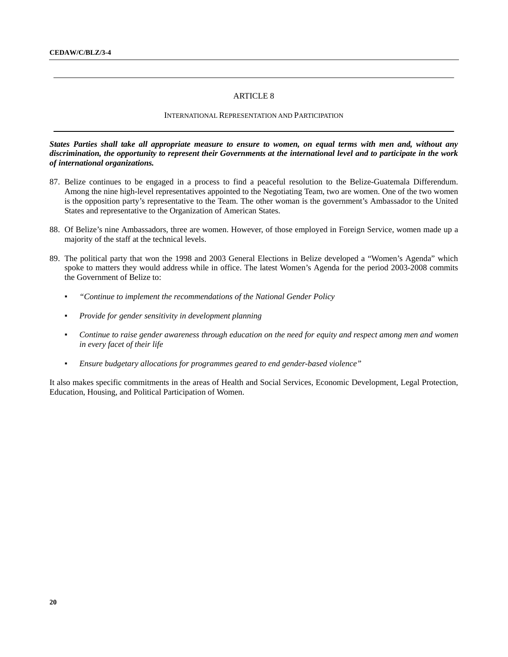#### INTERNATIONAL REPRESENTATION AND PARTICIPATION

*States Parties shall take all appropriate measure to ensure to women, on equal terms with men and, without any discrimination, the opportunity to represent their Governments at the international level and to participate in the work of international organizations.*

- 87. Belize continues to be engaged in a process to find a peaceful resolution to the Belize-Guatemala Differendum. Among the nine high-level representatives appointed to the Negotiating Team, two are women. One of the two women is the opposition party's representative to the Team. The other woman is the government's Ambassador to the United States and representative to the Organization of American States.
- 88. Of Belize's nine Ambassadors, three are women. However, of those employed in Foreign Service, women made up a majority of the staff at the technical levels.
- 89. The political party that won the 1998 and 2003 General Elections in Belize developed a "Women's Agenda" which spoke to matters they would address while in office. The latest Women's Agenda for the period 2003-2008 commits the Government of Belize to:
	- *"Continue to implement the recommendations of the National Gender Policy*
	- *Provide for gender sensitivity in development planning*
	- *Continue to raise gender awareness through education on the need for equity and respect among men and women in every facet of their life*
	- *Ensure budgetary allocations for programmes geared to end gender-based violence"*

It also makes specific commitments in the areas of Health and Social Services, Economic Development, Legal Protection, Education, Housing, and Political Participation of Women.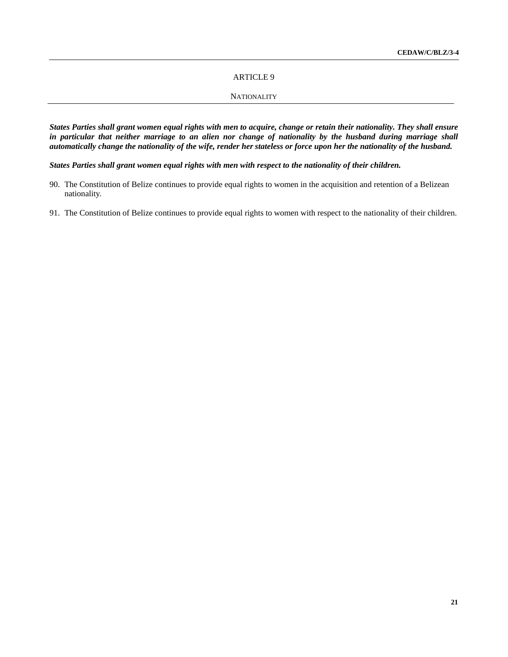#### **NATIONALITY**

*States Parties shall grant women equal rights with men to acquire, change or retain their nationality. They shall ensure* in particular that neither marriage to an alien nor change of nationality by the husband during marriage shall *automatically change the nationality of the wife, render her stateless or force upon her the nationality of the husband.*

*States Parties shall grant women equal rights with men with respect to the nationality of their children.*

- 90. The Constitution of Belize continues to provide equal rights to women in the acquisition and retention of a Belizean nationality.
- 91. The Constitution of Belize continues to provide equal rights to women with respect to the nationality of their children.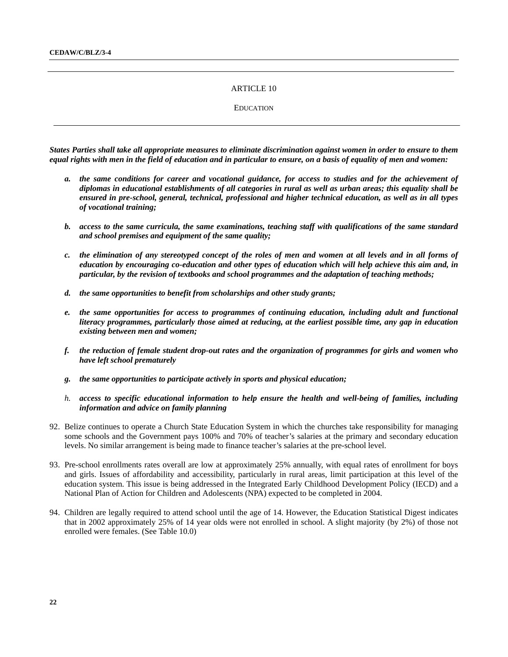EDUCATION

*States Parties shall take all appropriate measures to eliminate discrimination against women in order to ensure to them equal rights with men in the field of education and in particular to ensure, on a basis of equality of men and women:*

- *a. the same conditions for career and vocational guidance, for access to studies and for the achievement of diplomas in educational establishments of all categories in rural as well as urban areas; this equality shall be ensured in pre-school, general, technical, professional and higher technical education, as well as in all types of vocational training;*
- *b. access to the same curricula, the same examinations, teaching staff with qualifications of the same standard and school premises and equipment of the same quality;*
- *c. the elimination of any stereotyped concept of the roles of men and women at all levels and in all forms of education by encouraging co-education and other types of education which will help achieve this aim and, in particular, by the revision of textbooks and school programmes and the adaptation of teaching methods;*
- *d. the same opportunities to benefit from scholarships and other study grants;*
- *e. the same opportunities for access to programmes of continuing education, including adult and functional literacy programmes, particularly those aimed at reducing, at the earliest possible time, any gap in education existing between men and women;*
- *f. the reduction of female student drop-out rates and the organization of programmes for girls and women who have left school prematurely*
- *g. the same opportunities to participate actively in sports and physical education;*
- *h. access to specific educational information to help ensure the health and well-being of families, including information and advice on family planning*
- 92. Belize continues to operate a Church State Education System in which the churches take responsibility for managing some schools and the Government pays 100% and 70% of teacher's salaries at the primary and secondary education levels. No similar arrangement is being made to finance teacher's salaries at the pre-school level.
- 93. Pre-school enrollments rates overall are low at approximately 25% annually, with equal rates of enrollment for boys and girls. Issues of affordability and accessibility, particularly in rural areas, limit participation at this level of the education system. This issue is being addressed in the Integrated Early Childhood Development Policy (IECD) and a National Plan of Action for Children and Adolescents (NPA) expected to be completed in 2004.
- 94. Children are legally required to attend school until the age of 14. However, the Education Statistical Digest indicates that in 2002 approximately 25% of 14 year olds were not enrolled in school. A slight majority (by 2%) of those not enrolled were females. (See Table 10.0)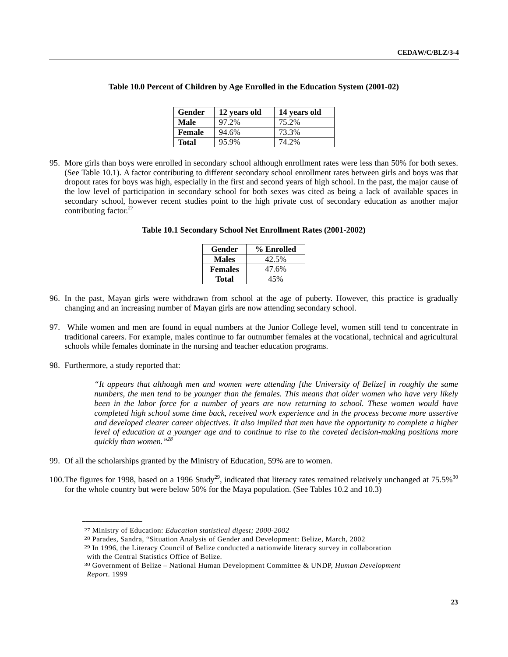| Gender | 12 years old | 14 years old |
|--------|--------------|--------------|
| Male   | 97.2%        | 75.2%        |
| Female | 94.6%        | 73.3%        |
| Total  | 95.9%        | 74.2%        |

#### **Table 10.0 Percent of Children by Age Enrolled in the Education System (2001-02)**

95. More girls than boys were enrolled in secondary school although enrollment rates were less than 50% for both sexes. (See Table 10.1). A factor contributing to different secondary school enrollment rates between girls and boys was that dropout rates for boys was high, especially in the first and second years of high school. In the past, the major cause of the low level of participation in secondary school for both sexes was cited as being a lack of available spaces in secondary school, however recent studies point to the high private cost of secondary education as another major contributing factor.<sup>27</sup>

| <b>Gender</b>  | % Enrolled |
|----------------|------------|
| <b>Males</b>   | 42.5%      |
| <b>Females</b> | 47.6%      |
| Total          | 45%        |

#### **Table 10.1 Secondary School Net Enrollment Rates (2001-2002)**

- 96. In the past, Mayan girls were withdrawn from school at the age of puberty. However, this practice is gradually changing and an increasing number of Mayan girls are now attending secondary school.
- 97. While women and men are found in equal numbers at the Junior College level, women still tend to concentrate in traditional careers. For example, males continue to far outnumber females at the vocational, technical and agricultural schools while females dominate in the nursing and teacher education programs.
- 98. Furthermore, a study reported that:

**\_\_\_\_\_\_\_\_\_\_\_\_\_\_\_\_\_\_**

*"It appears that although men and women were attending [the University of Belize] in roughly the same numbers, the men tend to be younger than the females. This means that older women who have very likely been in the labor force for a number of years are now returning to school. These women would have completed high school some time back, received work experience and in the process become more assertive and developed clearer career objectives. It also implied that men have the opportunity to complete a higher level of education at a younger age and to continue to rise to the coveted decision-making positions more quickly than women."28*

- 99. Of all the scholarships granted by the Ministry of Education, 59% are to women.
- 100. The figures for 1998, based on a 1996 Study<sup>29</sup>, indicated that literacy rates remained relatively unchanged at  $75.5\%$ <sup>30</sup> for the whole country but were below 50% for the Maya population. (See Tables 10.2 and 10.3)

<sup>27</sup> Ministry of Education: *Education statistical digest; 2000-2002*

<sup>28</sup> Parades, Sandra, "Situation Analysis of Gender and Development: Belize, March, 2002

<sup>29</sup> In 1996, the Literacy Council of Belize conducted a nationwide literacy survey in collaboration with the Central Statistics Office of Belize.

<sup>30</sup> Government of Belize – National Human Development Committee & UNDP, *Human Development Report*. 1999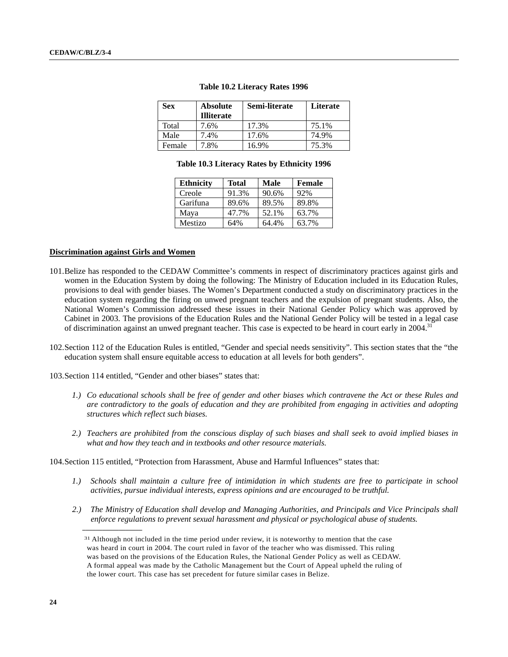| <b>Sex</b> | <b>Absolute</b>   | Semi-literate | Literate |
|------------|-------------------|---------------|----------|
|            | <b>Illiterate</b> |               |          |
| Total      | 7.6%              | 17.3%         | 75.1%    |
| Male       | 7.4%              | 17.6%         | 74.9%    |
| Female     | 7.8%              | 16.9%         | 75.3%    |

#### **Table 10.2 Literacy Rates 1996**

#### **Table 10.3 Literacy Rates by Ethnicity 1996**

| <b>Ethnicity</b> | <b>Total</b> | Male  | <b>Female</b> |
|------------------|--------------|-------|---------------|
| Creole           | 91.3%        | 90.6% | 92%           |
| Garifuna         | 89.6%        | 89.5% | 89.8%         |
| Maya             | 47.7%        | 52.1% | 63.7%         |
| Mestizo          | 64%          | 64.4% | 63.7%         |

#### **Discrimination against Girls and Women**

**\_\_\_\_\_\_\_\_\_\_\_\_\_\_\_\_\_\_**

- 101.Belize has responded to the CEDAW Committee's comments in respect of discriminatory practices against girls and women in the Education System by doing the following: The Ministry of Education included in its Education Rules, provisions to deal with gender biases. The Women's Department conducted a study on discriminatory practices in the education system regarding the firing on unwed pregnant teachers and the expulsion of pregnant students. Also, the National Women's Commission addressed these issues in their National Gender Policy which was approved by Cabinet in 2003. The provisions of the Education Rules and the National Gender Policy will be tested in a legal case of discrimination against an unwed pregnant teacher. This case is expected to be heard in court early in 2004.<sup>3</sup>
- 102.Section 112 of the Education Rules is entitled, "Gender and special needs sensitivity". This section states that the "the education system shall ensure equitable access to education at all levels for both genders".
- 103.Section 114 entitled, "Gender and other biases" states that:
	- *1.) Co educational schools shall be free of gender and other biases which contravene the Act or these Rules and are contradictory to the goals of education and they are prohibited from engaging in activities and adopting structures which reflect such biases.*
	- *2.) Teachers are prohibited from the conscious display of such biases and shall seek to avoid implied biases in what and how they teach and in textbooks and other resource materials.*

104.Section 115 entitled, "Protection from Harassment, Abuse and Harmful Influences" states that:

- *1.) Schools shall maintain a culture free of intimidation in which students are free to participate in school activities, pursue individual interests, express opinions and are encouraged to be truthful.*
- *2.) The Ministry of Education shall develop and Managing Authorities, and Principals and Vice Principals shall enforce regulations to prevent sexual harassment and physical or psychological abuse of students.*

<sup>&</sup>lt;sup>31</sup> Although not included in the time period under review, it is noteworthy to mention that the case was heard in court in 2004. The court ruled in favor of the teacher who was dismissed. This ruling was based on the provisions of the Education Rules, the National Gender Policy as well as CEDAW. A formal appeal was made by the Catholic Management but the Court of Appeal upheld the ruling of the lower court. This case has set precedent for future similar cases in Belize.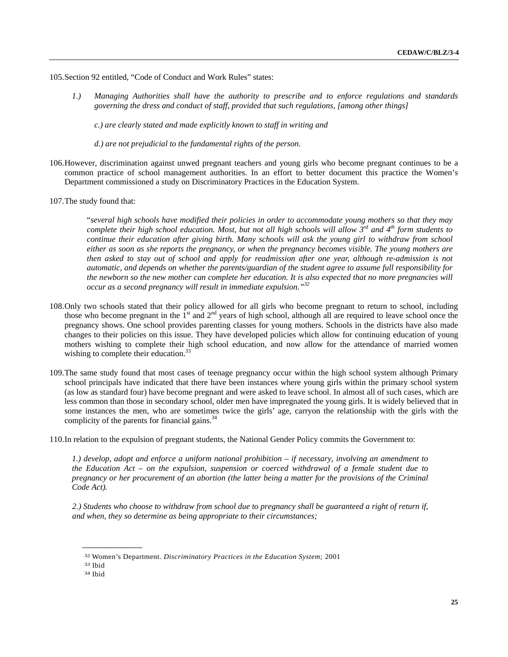105.Section 92 entitled, "Code of Conduct and Work Rules" states:

*1.) Managing Authorities shall have the authority to prescribe and to enforce regulations and standards governing the dress and conduct of staff, provided that such regulations, [among other things]*

*c.) are clearly stated and made explicitly known to staff in writing and*

*d.) are not prejudicial to the fundamental rights of the person.*

- 106.However, discrimination against unwed pregnant teachers and young girls who become pregnant continues to be a common practice of school management authorities. In an effort to better document this practice the Women's Department commissioned a study on Discriminatory Practices in the Education System.
- 107.The study found that:

"*several high schools have modified their policies in order to accommodate young mothers so that they may complete their high school education. Most, but not all high schools will allow 3rd and 4th form students to continue their education after giving birth. Many schools will ask the young girl to withdraw from school either as soon as she reports the pregnancy, or when the pregnancy becomes visible. The young mothers are then asked to stay out of school and apply for readmission after one year, although re-admission is not automatic, and depends on whether the parents/guardian of the student agree to assume full responsibility for the newborn so the new mother can complete her education. It is also expected that no more pregnancies will occur as a second pregnancy will result in immediate expulsion."32*

- 108.Only two schools stated that their policy allowed for all girls who become pregnant to return to school, including those who become pregnant in the  $1<sup>st</sup>$  and  $2<sup>nd</sup>$  years of high school, although all are required to leave school once the pregnancy shows. One school provides parenting classes for young mothers. Schools in the districts have also made changes to their policies on this issue. They have developed policies which allow for continuing education of young mothers wishing to complete their high school education, and now allow for the attendance of married women wishing to complete their education.<sup>33</sup>
- 109.The same study found that most cases of teenage pregnancy occur within the high school system although Primary school principals have indicated that there have been instances where young girls within the primary school system (as low as standard four) have become pregnant and were asked to leave school. In almost all of such cases, which are less common than those in secondary school, older men have impregnated the young girls. It is widely believed that in some instances the men, who are sometimes twice the girls' age, carryon the relationship with the girls with the complicity of the parents for financial gains.<sup>34</sup>

110.In relation to the expulsion of pregnant students, the National Gender Policy commits the Government to:

*1.) develop, adopt and enforce a uniform national prohibition – if necessary, involving an amendment to the Education Act – on the expulsion, suspension or coerced withdrawal of a female student due to pregnancy or her procurement of an abortion (the latter being a matter for the provisions of the Criminal Code Act).*

*2.) Students who choose to withdraw from school due to pregnancy shall be guaranteed a right of return if, and when, they so determine as being appropriate to their circumstances;*

<sup>32</sup> Women's Department. *Discriminatory Practices in the Education System;* 2001

<sup>33</sup> Ibid

<sup>34</sup> Ibid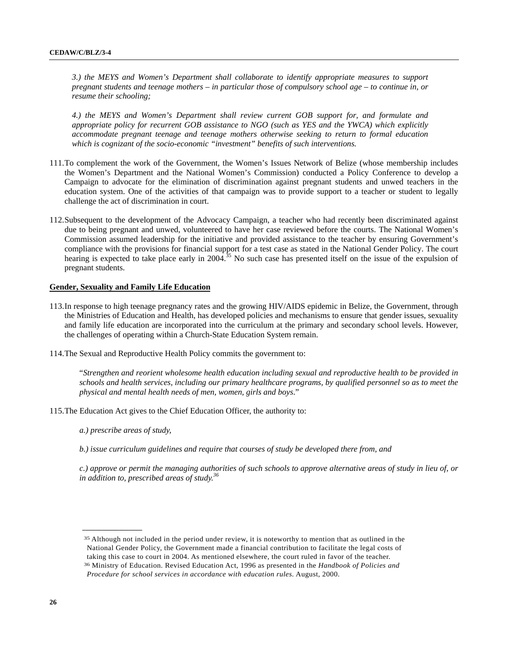*3.) the MEYS and Women's Department shall collaborate to identify appropriate measures to support pregnant students and teenage mothers – in particular those of compulsory school age – to continue in, or resume their schooling;*

*4.) the MEYS and Women's Department shall review current GOB support for, and formulate and appropriate policy for recurrent GOB assistance to NGO (such as YES and the YWCA) which explicitly accommodate pregnant teenage and teenage mothers otherwise seeking to return to formal education which is cognizant of the socio-economic "investment" benefits of such interventions.*

- 111.To complement the work of the Government, the Women's Issues Network of Belize (whose membership includes the Women's Department and the National Women's Commission) conducted a Policy Conference to develop a Campaign to advocate for the elimination of discrimination against pregnant students and unwed teachers in the education system. One of the activities of that campaign was to provide support to a teacher or student to legally challenge the act of discrimination in court.
- 112.Subsequent to the development of the Advocacy Campaign, a teacher who had recently been discriminated against due to being pregnant and unwed, volunteered to have her case reviewed before the courts. The National Women's Commission assumed leadership for the initiative and provided assistance to the teacher by ensuring Government's compliance with the provisions for financial support for a test case as stated in the National Gender Policy. The court hearing is expected to take place early in  $2004$ .<sup>35</sup> No such case has presented itself on the issue of the expulsion of pregnant students.

## **Gender, Sexuality and Family Life Education**

- 113.In response to high teenage pregnancy rates and the growing HIV/AIDS epidemic in Belize, the Government, through the Ministries of Education and Health, has developed policies and mechanisms to ensure that gender issues, sexuality and family life education are incorporated into the curriculum at the primary and secondary school levels. However, the challenges of operating within a Church-State Education System remain.
- 114.The Sexual and Reproductive Health Policy commits the government to:

"*Strengthen and reorient wholesome health education including sexual and reproductive health to be provided in schools and health services, including our primary healthcare programs, by qualified personnel so as to meet the physical and mental health needs of men, women, girls and boys*."

- 115.The Education Act gives to the Chief Education Officer, the authority to:
	- *a.) prescribe areas of study,*

**\_\_\_\_\_\_\_\_\_\_\_\_\_\_\_\_\_\_**

*b.) issue curriculum guidelines and require that courses of study be developed there from, and*

*c.) approve or permit the managing authorities of such schools to approve alternative areas of study in lieu of, or in addition to, prescribed areas of study.36*

<sup>35</sup> Although not included in the period under review, it is noteworthy to mention that as outlined in the National Gender Policy, the Government made a financial contribution to facilitate the legal costs of taking this case to court in 2004. As mentioned elsewhere, the court ruled in favor of the teacher. 36 Ministry of Education. Revised Education Act, 1996 as presented in the *Handbook of Policies and*

*Procedure for school services in accordance with education rules.* August, 2000.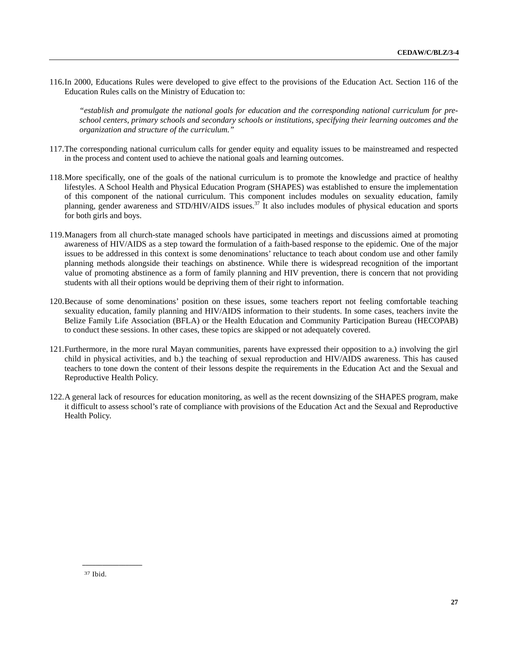116.In 2000, Educations Rules were developed to give effect to the provisions of the Education Act. Section 116 of the Education Rules calls on the Ministry of Education to:

*"establish and promulgate the national goals for education and the corresponding national curriculum for preschool centers, primary schools and secondary schools or institutions, specifying their learning outcomes and the organization and structure of the curriculum."*

- 117.The corresponding national curriculum calls for gender equity and equality issues to be mainstreamed and respected in the process and content used to achieve the national goals and learning outcomes.
- 118.More specifically, one of the goals of the national curriculum is to promote the knowledge and practice of healthy lifestyles. A School Health and Physical Education Program (SHAPES) was established to ensure the implementation of this component of the national curriculum. This component includes modules on sexuality education, family planning, gender awareness and STD/HIV/AIDS issues.<sup>37</sup> It also includes modules of physical education and sports for both girls and boys.
- 119.Managers from all church-state managed schools have participated in meetings and discussions aimed at promoting awareness of HIV/AIDS as a step toward the formulation of a faith-based response to the epidemic. One of the major issues to be addressed in this context is some denominations' reluctance to teach about condom use and other family planning methods alongside their teachings on abstinence. While there is widespread recognition of the important value of promoting abstinence as a form of family planning and HIV prevention, there is concern that not providing students with all their options would be depriving them of their right to information.
- 120.Because of some denominations' position on these issues, some teachers report not feeling comfortable teaching sexuality education, family planning and HIV/AIDS information to their students. In some cases, teachers invite the Belize Family Life Association (BFLA) or the Health Education and Community Participation Bureau (HECOPAB) to conduct these sessions. In other cases, these topics are skipped or not adequately covered.
- 121.Furthermore, in the more rural Mayan communities, parents have expressed their opposition to a.) involving the girl child in physical activities, and b.) the teaching of sexual reproduction and HIV/AIDS awareness. This has caused teachers to tone down the content of their lessons despite the requirements in the Education Act and the Sexual and Reproductive Health Policy.
- 122.A general lack of resources for education monitoring, as well as the recent downsizing of the SHAPES program, make it difficult to assess school's rate of compliance with provisions of the Education Act and the Sexual and Reproductive Health Policy.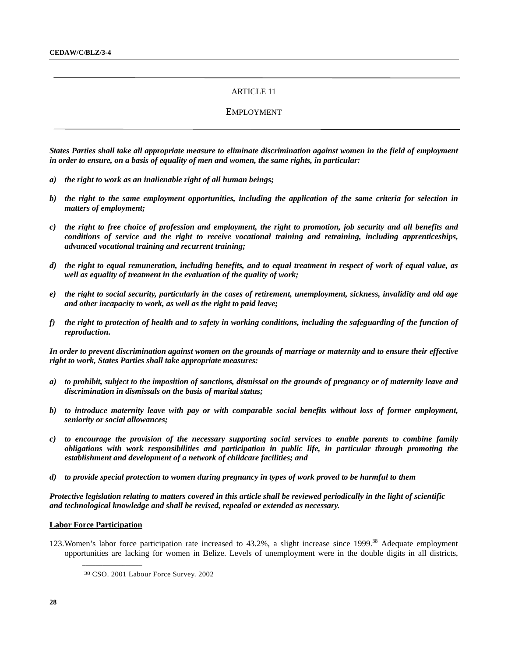## EMPLOYMENT

*States Parties shall take all appropriate measure to eliminate discrimination against women in the field of employment in order to ensure, on a basis of equality of men and women, the same rights, in particular:*

- *a) the right to work as an inalienable right of all human beings;*
- *b) the right to the same employment opportunities, including the application of the same criteria for selection in matters of employment;*
- *c) the right to free choice of profession and employment, the right to promotion, job security and all benefits and conditions of service and the right to receive vocational training and retraining, including apprenticeships, advanced vocational training and recurrent training;*
- *d) the right to equal remuneration, including benefits, and to equal treatment in respect of work of equal value, as well as equality of treatment in the evaluation of the quality of work;*
- *e) the right to social security, particularly in the cases of retirement, unemployment, sickness, invalidity and old age and other incapacity to work, as well as the right to paid leave;*
- *f) the right to protection of health and to safety in working conditions, including the safeguarding of the function of reproduction.*

*In order to prevent discrimination against women on the grounds of marriage or maternity and to ensure their effective right to work, States Parties shall take appropriate measures:*

- *a) to prohibit, subject to the imposition of sanctions, dismissal on the grounds of pregnancy or of maternity leave and discrimination in dismissals on the basis of marital status;*
- *b) to introduce maternity leave with pay or with comparable social benefits without loss of former employment, seniority or social allowances;*
- *c) to encourage the provision of the necessary supporting social services to enable parents to combine family obligations with work responsibilities and participation in public life, in particular through promoting the establishment and development of a network of childcare facilities; and*
- *d) to provide special protection to women during pregnancy in types of work proved to be harmful to them*

*Protective legislation relating to matters covered in this article shall be reviewed periodically in the light of scientific and technological knowledge and shall be revised, repealed or extended as necessary.*

#### **Labor Force Participation**

**\_\_\_\_\_\_\_\_\_\_\_\_\_\_\_\_\_\_**

123. Women's labor force participation rate increased to 43.2%, a slight increase since 1999.<sup>38</sup> Adequate employment opportunities are lacking for women in Belize. Levels of unemployment were in the double digits in all districts,

<sup>38</sup> CSO. 2001 Labour Force Survey. 2002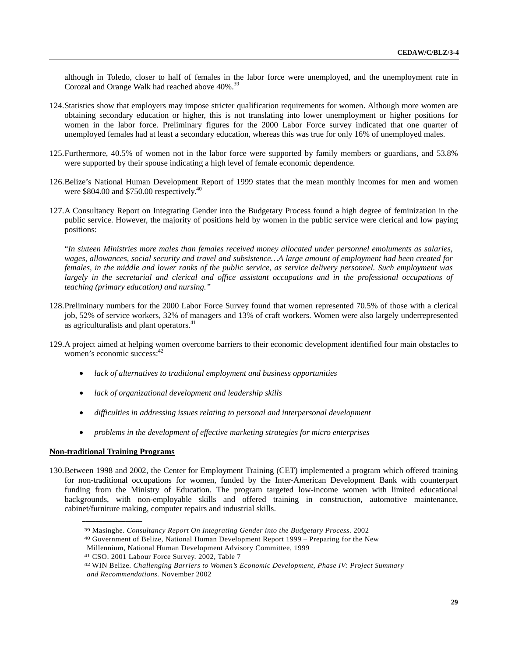although in Toledo, closer to half of females in the labor force were unemployed, and the unemployment rate in Corozal and Orange Walk had reached above 40%.<sup>39</sup>

- 124.Statistics show that employers may impose stricter qualification requirements for women. Although more women are obtaining secondary education or higher, this is not translating into lower unemployment or higher positions for women in the labor force. Preliminary figures for the 2000 Labor Force survey indicated that one quarter of unemployed females had at least a secondary education, whereas this was true for only 16% of unemployed males.
- 125.Furthermore, 40.5% of women not in the labor force were supported by family members or guardians, and 53.8% were supported by their spouse indicating a high level of female economic dependence.
- 126.Belize's National Human Development Report of 1999 states that the mean monthly incomes for men and women were  $$804.00$  and  $$750.00$  respectively.<sup>40</sup>
- 127.A Consultancy Report on Integrating Gender into the Budgetary Process found a high degree of feminization in the public service. However, the majority of positions held by women in the public service were clerical and low paying positions:

"*In sixteen Ministries more males than females received money allocated under personnel emoluments as salaries, wages, allowances, social security and travel and subsistence…A large amount of employment had been created for females, in the middle and lower ranks of the public service, as service delivery personnel. Such employment was largely in the secretarial and clerical and office assistant occupations and in the professional occupations of teaching (primary education) and nursing."*

- 128.Preliminary numbers for the 2000 Labor Force Survey found that women represented 70.5% of those with a clerical job, 52% of service workers, 32% of managers and 13% of craft workers. Women were also largely underrepresented as agriculturalists and plant operators.<sup>41</sup>
- 129.A project aimed at helping women overcome barriers to their economic development identified four main obstacles to women's economic success: $42$ 
	- *lack of alternatives to traditional employment and business opportunities*
	- *lack of organizational development and leadership skills*
	- *difficulties in addressing issues relating to personal and interpersonal development*
	- *problems in the development of effective marketing strategies for micro enterprises*

## **Non-traditional Training Programs**

**\_\_\_\_\_\_\_\_\_\_\_\_\_\_\_\_\_\_**

130.Between 1998 and 2002, the Center for Employment Training (CET) implemented a program which offered training for non-traditional occupations for women, funded by the Inter-American Development Bank with counterpart funding from the Ministry of Education. The program targeted low-income women with limited educational backgrounds, with non-employable skills and offered training in construction, automotive maintenance, cabinet/furniture making, computer repairs and industrial skills.

<sup>39</sup> Masinghe. *Consultancy Report On Integrating Gender into the Budgetary Process*. 2002

<sup>40</sup> Government of Belize, National Human Development Report 1999 – Preparing for the New

Millennium, National Human Development Advisory Committee, 1999

<sup>41</sup> CSO. 2001 Labour Force Survey. 2002, Table 7

<sup>42</sup> WIN Belize. *Challenging Barriers to Women's Economic Development, Phase IV: Project Summary and Recommendations*. November 2002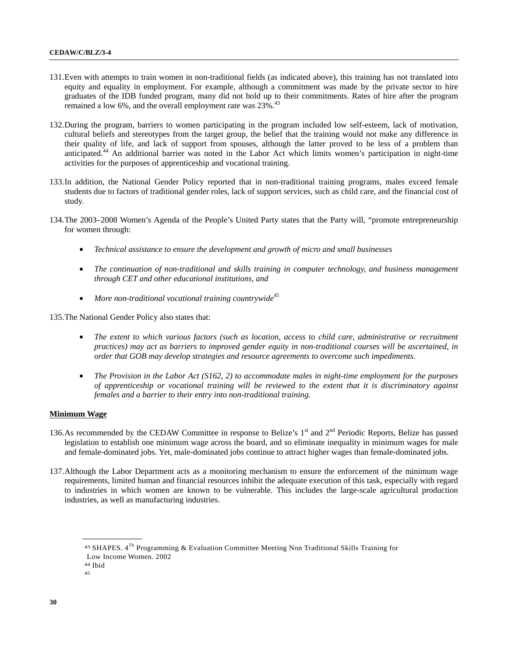- 131.Even with attempts to train women in non-traditional fields (as indicated above), this training has not translated into equity and equality in employment. For example, although a commitment was made by the private sector to hire graduates of the IDB funded program, many did not hold up to their commitments. Rates of hire after the program remained a low 6%, and the overall employment rate was 23%.<sup>43</sup>
- 132.During the program, barriers to women participating in the program included low self-esteem, lack of motivation, cultural beliefs and stereotypes from the target group, the belief that the training would not make any difference in their quality of life, and lack of support from spouses, although the latter proved to be less of a problem than anticipated.<sup>44</sup> An additional barrier was noted in the Labor Act which limits women's participation in night-time activities for the purposes of apprenticeship and vocational training.
- 133.In addition, the National Gender Policy reported that in non-traditional training programs, males exceed female students due to factors of traditional gender roles, lack of support services, such as child care, and the financial cost of study.
- 134.The 2003–2008 Women's Agenda of the People's United Party states that the Party will, "promote entrepreneurship for women through:
	- *Technical assistance to ensure the development and growth of micro and small businesses*
	- *The continuation of non-traditional and skills training in computer technology, and business management through CET and other educational institutions, and*
	- *More non-traditional vocational training countrywide45*

135.The National Gender Policy also states that:

- *The extent to which various factors (such as location, access to child care, administrative or recruitment practices) may act as barriers to improved gender equity in non-traditional courses will be ascertained, in order that GOB may develop strategies and resource agreements to overcome such impediments.*
- *The Provision in the Labor Act (S162, 2) to accommodate males in night-time employment for the purposes of apprenticeship or vocational training will be reviewed to the extent that it is discriminatory against females and a barrier to their entry into non-traditional training.*

#### **Minimum Wage**

- 136.As recommended by the CEDAW Committee in response to Belize's  $1<sup>st</sup>$  and  $2<sup>nd</sup>$  Periodic Reports, Belize has passed legislation to establish one minimum wage across the board, and so eliminate inequality in minimum wages for male and female-dominated jobs. Yet, male-dominated jobs continue to attract higher wages than female-dominated jobs.
- 137.Although the Labor Department acts as a monitoring mechanism to ensure the enforcement of the minimum wage requirements, limited human and financial resources inhibit the adequate execution of this task, especially with regard to industries in which women are known to be vulnerable. This includes the large-scale agricultural production industries, as well as manufacturing industries.

<sup>43</sup> SHAPES. 4Th Programming & Evaluation Committee Meeting Non Traditional Skills Training for

Low Income Women. 2002

<sup>44</sup> Ibid 45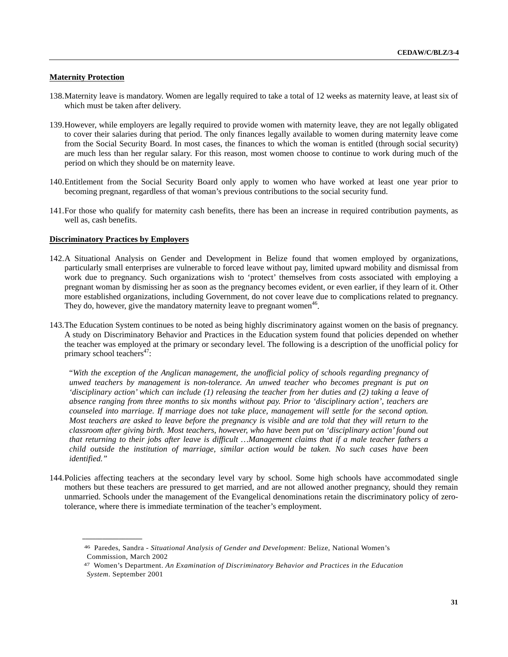# **Maternity Protection**

- 138.Maternity leave is mandatory. Women are legally required to take a total of 12 weeks as maternity leave, at least six of which must be taken after delivery.
- 139.However, while employers are legally required to provide women with maternity leave, they are not legally obligated to cover their salaries during that period. The only finances legally available to women during maternity leave come from the Social Security Board. In most cases, the finances to which the woman is entitled (through social security) are much less than her regular salary. For this reason, most women choose to continue to work during much of the period on which they should be on maternity leave.
- 140.Entitlement from the Social Security Board only apply to women who have worked at least one year prior to becoming pregnant, regardless of that woman's previous contributions to the social security fund.
- 141.For those who qualify for maternity cash benefits, there has been an increase in required contribution payments, as well as, cash benefits.

# **Discriminatory Practices by Employers**

**\_\_\_\_\_\_\_\_\_\_\_\_\_\_\_\_\_\_**

- 142.A Situational Analysis on Gender and Development in Belize found that women employed by organizations, particularly small enterprises are vulnerable to forced leave without pay, limited upward mobility and dismissal from work due to pregnancy. Such organizations wish to 'protect' themselves from costs associated with employing a pregnant woman by dismissing her as soon as the pregnancy becomes evident, or even earlier, if they learn of it. Other more established organizations, including Government, do not cover leave due to complications related to pregnancy. They do, however, give the mandatory maternity leave to pregnant women<sup>46</sup>.
- 143.The Education System continues to be noted as being highly discriminatory against women on the basis of pregnancy. A study on Discriminatory Behavior and Practices in the Education system found that policies depended on whether the teacher was employed at the primary or secondary level. The following is a description of the unofficial policy for primary school teachers<sup>47</sup>:

"*With the exception of the Anglican management, the unofficial policy of schools regarding pregnancy of unwed teachers by management is non-tolerance. An unwed teacher who becomes pregnant is put on 'disciplinary action' which can include (1) releasing the teacher from her duties and (2) taking a leave of absence ranging from three months to six months without pay. Prior to 'disciplinary action', teachers are counseled into marriage. If marriage does not take place, management will settle for the second option. Most teachers are asked to leave before the pregnancy is visible and are told that they will return to the classroom after giving birth. Most teachers, however, who have been put on 'disciplinary action' found out that returning to their jobs after leave is difficult …Management claims that if a male teacher fathers a child outside the institution of marriage, similar action would be taken. No such cases have been identified."*

144.Policies affecting teachers at the secondary level vary by school. Some high schools have accommodated single mothers but these teachers are pressured to get married, and are not allowed another pregnancy, should they remain unmarried. Schools under the management of the Evangelical denominations retain the discriminatory policy of zerotolerance, where there is immediate termination of the teacher's employment.

<sup>46</sup> Paredes, Sandra - *Situational Analysis of Gender and Development:* Belize, National Women's Commission, March 2002

<sup>47</sup> Women's Department. *An Examination of Discriminatory Behavior and Practices in the Education System*. September 2001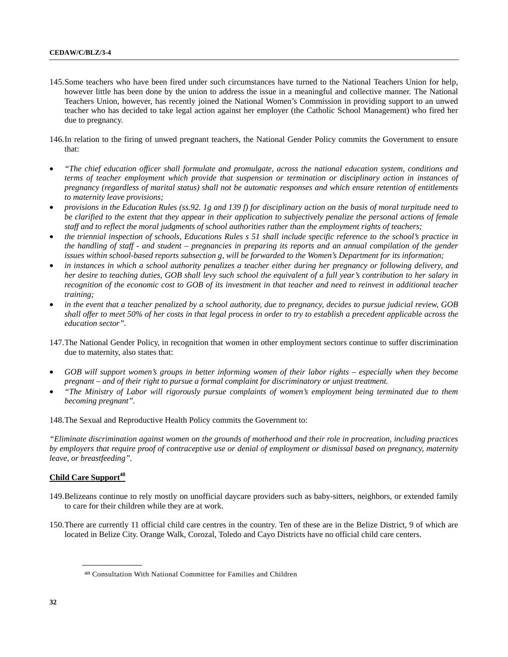- 145.Some teachers who have been fired under such circumstances have turned to the National Teachers Union for help, however little has been done by the union to address the issue in a meaningful and collective manner. The National Teachers Union, however, has recently joined the National Women's Commission in providing support to an unwed teacher who has decided to take legal action against her employer (the Catholic School Management) who fired her due to pregnancy.
- 146.In relation to the firing of unwed pregnant teachers, the National Gender Policy commits the Government to ensure that:
- *"The chief education officer shall formulate and promulgate, across the national education system, conditions and terms of teacher employment which provide that suspension or termination or disciplinary action in instances of pregnancy (regardless of marital status) shall not be automatic responses and which ensure retention of entitlements to maternity leave provisions;*
- *provisions in the Education Rules (ss.92. 1g and 139 f) for disciplinary action on the basis of moral turpitude need to be clarified to the extent that they appear in their application to subjectively penalize the personal actions of female staff and to reflect the moral judgments of school authorities rather than the employment rights of teachers;*
- *the triennial inspection of schools, Educations Rules s 51 shall include specific reference to the school's practice in the handling of staff - and student – pregnancies in preparing its reports and an annual compilation of the gender issues within school-based reports subsection g, will be forwarded to the Women's Department for its information;*
- *in instances in which a school authority penalizes a teacher either during her pregnancy or following delivery, and her desire to teaching duties, GOB shall levy such school the equivalent of a full year's contribution to her salary in recognition of the economic cost to GOB of its investment in that teacher and need to reinvest in additional teacher training;*
- *in the event that a teacher penalized by a school authority, due to pregnancy, decides to pursue judicial review, GOB shall offer to meet 50% of her costs in that legal process in order to try to establish a precedent applicable across the education sector".*
- 147.The National Gender Policy, in recognition that women in other employment sectors continue to suffer discrimination due to maternity, also states that:
- *GOB will support women's groups in better informing women of their labor rights especially when they become pregnant – and of their right to pursue a formal complaint for discriminatory or unjust treatment.*
- *"The Ministry of Labor will rigorously pursue complaints of women's employment being terminated due to them becoming pregnant".*

148.The Sexual and Reproductive Health Policy commits the Government to:

*"Eliminate discrimination against women on the grounds of motherhood and their role in procreation, including practices by employers that require proof of contraceptive use or denial of employment or dismissal based on pregnancy, maternity leave, or breastfeeding".*

# **Child Care Support<sup>48</sup>**

- 149.Belizeans continue to rely mostly on unofficial daycare providers such as baby-sitters, neighbors, or extended family to care for their children while they are at work.
- 150.There are currently 11 official child care centres in the country. Ten of these are in the Belize District, 9 of which are located in Belize City. Orange Walk, Corozal, Toledo and Cayo Districts have no official child care centers.

<sup>48</sup> Consultation With National Committee for Families and Children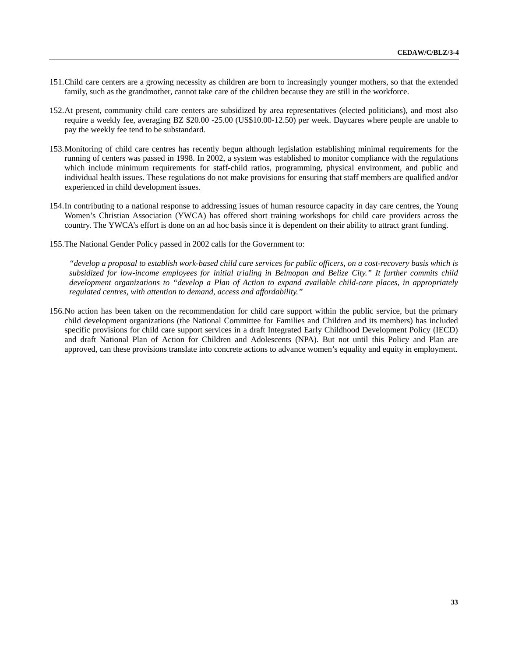- 151.Child care centers are a growing necessity as children are born to increasingly younger mothers, so that the extended family, such as the grandmother, cannot take care of the children because they are still in the workforce.
- 152.At present, community child care centers are subsidized by area representatives (elected politicians), and most also require a weekly fee, averaging BZ \$20.00 -25.00 (US\$10.00-12.50) per week. Daycares where people are unable to pay the weekly fee tend to be substandard.
- 153.Monitoring of child care centres has recently begun although legislation establishing minimal requirements for the running of centers was passed in 1998. In 2002, a system was established to monitor compliance with the regulations which include minimum requirements for staff-child ratios, programming, physical environment, and public and individual health issues. These regulations do not make provisions for ensuring that staff members are qualified and/or experienced in child development issues.
- 154.In contributing to a national response to addressing issues of human resource capacity in day care centres, the Young Women's Christian Association (YWCA) has offered short training workshops for child care providers across the country. The YWCA's effort is done on an ad hoc basis since it is dependent on their ability to attract grant funding.
- 155.The National Gender Policy passed in 2002 calls for the Government to:

*"develop a proposal to establish work-based child care services for public officers, on a cost-recovery basis which is subsidized for low-income employees for initial trialing in Belmopan and Belize City." It further commits child development organizations to "develop a Plan of Action to expand available child-care places, in appropriately regulated centres, with attention to demand, access and affordability."*

156.No action has been taken on the recommendation for child care support within the public service, but the primary child development organizations (the National Committee for Families and Children and its members) has included specific provisions for child care support services in a draft Integrated Early Childhood Development Policy (IECD) and draft National Plan of Action for Children and Adolescents (NPA). But not until this Policy and Plan are approved, can these provisions translate into concrete actions to advance women's equality and equity in employment.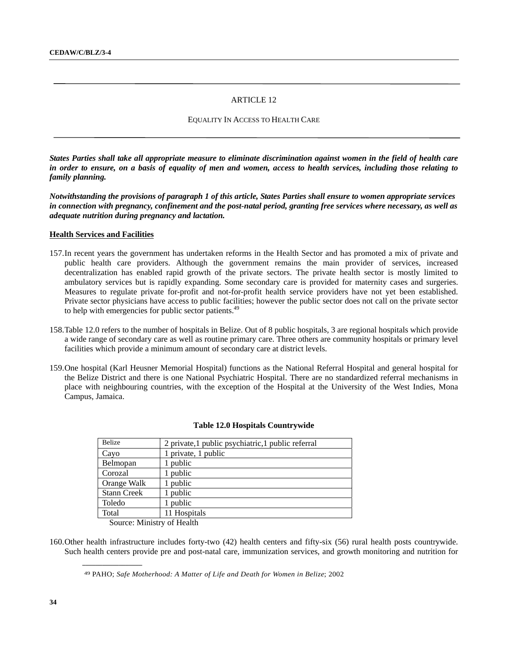### EQUALITY IN ACCESS TO HEALTH CARE

*States Parties shall take all appropriate measure to eliminate discrimination against women in the field of health care in order to ensure, on a basis of equality of men and women, access to health services, including those relating to family planning.*

*Notwithstanding the provisions of paragraph 1 of this article, States Parties shall ensure to women appropriate services in connection with pregnancy, confinement and the post-natal period, granting free services where necessary, as well as adequate nutrition during pregnancy and lactation.*

#### **Health Services and Facilities**

- 157.In recent years the government has undertaken reforms in the Health Sector and has promoted a mix of private and public health care providers. Although the government remains the main provider of services, increased decentralization has enabled rapid growth of the private sectors. The private health sector is mostly limited to ambulatory services but is rapidly expanding. Some secondary care is provided for maternity cases and surgeries. Measures to regulate private for-profit and not-for-profit health service providers have not yet been established. Private sector physicians have access to public facilities; however the public sector does not call on the private sector to help with emergencies for public sector patients.<sup>49</sup>
- 158.Table 12.0 refers to the number of hospitals in Belize. Out of 8 public hospitals, 3 are regional hospitals which provide a wide range of secondary care as well as routine primary care. Three others are community hospitals or primary level facilities which provide a minimum amount of secondary care at district levels.
- 159.One hospital (Karl Heusner Memorial Hospital) functions as the National Referral Hospital and general hospital for the Belize District and there is one National Psychiatric Hospital. There are no standardized referral mechanisms in place with neighbouring countries, with the exception of the Hospital at the University of the West Indies, Mona Campus, Jamaica.

| Belize             | 2 private, 1 public psychiatric, 1 public referral |
|--------------------|----------------------------------------------------|
| Cayo               | private, 1 public                                  |
| Belmopan           | public                                             |
| Corozal            | public                                             |
| Orange Walk        | public                                             |
| <b>Stann Creek</b> | public                                             |
| Toledo             | public                                             |
| Total              | 11 Hospitals                                       |

#### **Table 12.0 Hospitals Countrywide**

Source: Ministry of Health

**\_\_\_\_\_\_\_\_\_\_\_\_\_\_\_\_\_\_**

160.Other health infrastructure includes forty-two (42) health centers and fifty-six (56) rural health posts countrywide. Such health centers provide pre and post-natal care, immunization services, and growth monitoring and nutrition for

<sup>49</sup> PAHO; *Safe Motherhood: A Matter of Life and Death for Women in Belize*; 2002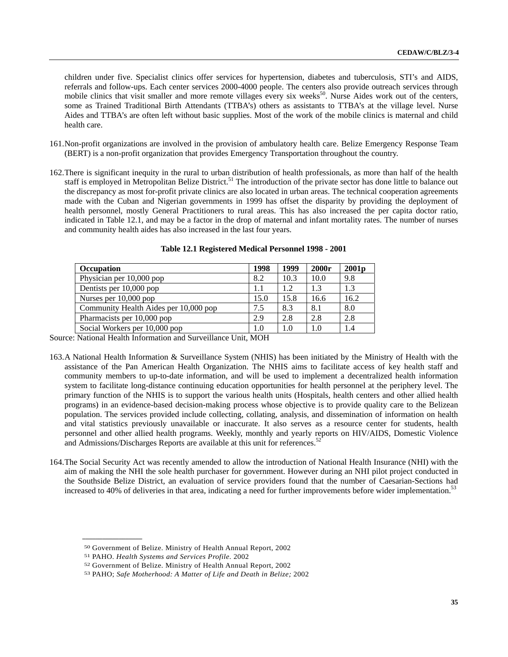children under five. Specialist clinics offer services for hypertension, diabetes and tuberculosis, STI's and AIDS, referrals and follow-ups. Each center services 2000-4000 people. The centers also provide outreach services through mobile clinics that visit smaller and more remote villages every six weeks<sup>50</sup>. Nurse Aides work out of the centers, some as Trained Traditional Birth Attendants (TTBA's) others as assistants to TTBA's at the village level. Nurse Aides and TTBA's are often left without basic supplies. Most of the work of the mobile clinics is maternal and child health care.

- 161.Non-profit organizations are involved in the provision of ambulatory health care. Belize Emergency Response Team (BERT) is a non-profit organization that provides Emergency Transportation throughout the country.
- 162.There is significant inequity in the rural to urban distribution of health professionals, as more than half of the health staff is employed in Metropolitan Belize District.<sup>51</sup> The introduction of the private sector has done little to balance out the discrepancy as most for-profit private clinics are also located in urban areas. The technical cooperation agreements made with the Cuban and Nigerian governments in 1999 has offset the disparity by providing the deployment of health personnel, mostly General Practitioners to rural areas. This has also increased the per capita doctor ratio, indicated in Table 12.1, and may be a factor in the drop of maternal and infant mortality rates. The number of nurses and community health aides has also increased in the last four years.

| <b>Occupation</b>                     | 1998 | 1999 | 2000r | 2001p |
|---------------------------------------|------|------|-------|-------|
| Physician per 10,000 pop              | 8.2  | 10.3 | 10.0  | 9.8   |
| Dentists per 10,000 pop               | 1.1  | 1.2  | 1.3   | 1.3   |
| Nurses per 10,000 pop                 | 15.0 | 15.8 | 16.6  | 16.2  |
| Community Health Aides per 10,000 pop | 7.5  | 8.3  | 8.1   | 8.0   |
| Pharmacists per 10,000 pop            | 2.9  | 2.8  | 2.8   | 2.8   |
| Social Workers per 10,000 pop         | 1.0  | 1.0  | 1.0   | 1.4   |

| Table 12.1 Registered Medical Personnel 1998 - 2001 |  |  |
|-----------------------------------------------------|--|--|
|                                                     |  |  |

Source: National Health Information and Surveillance Unit, MOH

- 163.A National Health Information & Surveillance System (NHIS) has been initiated by the Ministry of Health with the assistance of the Pan American Health Organization. The NHIS aims to facilitate access of key health staff and community members to up-to-date information, and will be used to implement a decentralized health information system to facilitate long-distance continuing education opportunities for health personnel at the periphery level. The primary function of the NHIS is to support the various health units (Hospitals, health centers and other allied health programs) in an evidence-based decision-making process whose objective is to provide quality care to the Belizean population. The services provided include collecting, collating, analysis, and dissemination of information on health and vital statistics previously unavailable or inaccurate. It also serves as a resource center for students, health personnel and other allied health programs. Weekly, monthly and yearly reports on HIV/AIDS, Domestic Violence and Admissions/Discharges Reports are available at this unit for references.<sup>5</sup>
- 164.The Social Security Act was recently amended to allow the introduction of National Health Insurance (NHI) with the aim of making the NHI the sole health purchaser for government. However during an NHI pilot project conducted in the Southside Belize District, an evaluation of service providers found that the number of Caesarian-Sections had increased to 40% of deliveries in that area, indicating a need for further improvements before wider implementation.<sup>53</sup>

<sup>50</sup> Government of Belize. Ministry of Health Annual Report, 2002

<sup>51</sup> PAHO. *Health Systems and Services Profile.* 2002

<sup>52</sup> Government of Belize. Ministry of Health Annual Report, 2002

<sup>53</sup> PAHO; *Safe Motherhood: A Matter of Life and Death in Belize;* 2002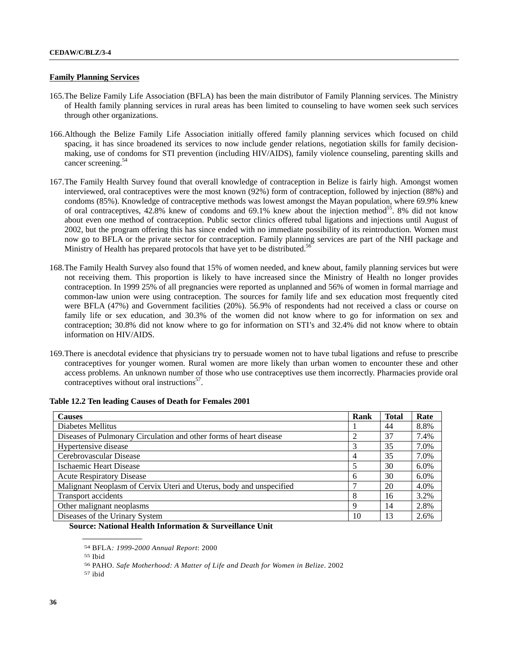## **Family Planning Services**

- 165.The Belize Family Life Association (BFLA) has been the main distributor of Family Planning services. The Ministry of Health family planning services in rural areas has been limited to counseling to have women seek such services through other organizations.
- 166.Although the Belize Family Life Association initially offered family planning services which focused on child spacing, it has since broadened its services to now include gender relations, negotiation skills for family decisionmaking, use of condoms for STI prevention (including HIV/AIDS), family violence counseling, parenting skills and cancer screening.<sup>54</sup>
- 167.The Family Health Survey found that overall knowledge of contraception in Belize is fairly high. Amongst women interviewed, oral contraceptives were the most known (92%) form of contraception, followed by injection (88%) and condoms (85%). Knowledge of contraceptive methods was lowest amongst the Mayan population, where 69.9% knew of oral contraceptives, 42.8% knew of condoms and 69.1% knew about the injection method<sup>55</sup>. 8% did not know about even one method of contraception. Public sector clinics offered tubal ligations and injections until August of 2002, but the program offering this has since ended with no immediate possibility of its reintroduction. Women must now go to BFLA or the private sector for contraception. Family planning services are part of the NHI package and Ministry of Health has prepared protocols that have yet to be distributed.<sup>56</sup>
- 168.The Family Health Survey also found that 15% of women needed, and knew about, family planning services but were not receiving them. This proportion is likely to have increased since the Ministry of Health no longer provides contraception. In 1999 25% of all pregnancies were reported as unplanned and 56% of women in formal marriage and common-law union were using contraception. The sources for family life and sex education most frequently cited were BFLA (47%) and Government facilities (20%). 56.9% of respondents had not received a class or course on family life or sex education, and 30.3% of the women did not know where to go for information on sex and contraception; 30.8% did not know where to go for information on STI's and 32.4% did not know where to obtain information on HIV/AIDS.
- 169.There is anecdotal evidence that physicians try to persuade women not to have tubal ligations and refuse to prescribe contraceptives for younger women. Rural women are more likely than urban women to encounter these and other access problems. An unknown number of those who use contraceptives use them incorrectly. Pharmacies provide oral contraceptives without oral instructions<sup>57</sup>.

| <b>Causes</b>                                                       | Rank | <b>Total</b> | Rate |
|---------------------------------------------------------------------|------|--------------|------|
| Diabetes Mellitus                                                   |      | 44           | 8.8% |
| Diseases of Pulmonary Circulation and other forms of heart disease  |      | 37           | 7.4% |
| Hypertensive disease                                                | 3    | 35           | 7.0% |
| Cerebrovascular Disease                                             | 4    | 35           | 7.0% |
| Ischaemic Heart Disease                                             | 5    | 30           | 6.0% |
| <b>Acute Respiratory Disease</b>                                    | 6    | 30           | 6.0% |
| Malignant Neoplasm of Cervix Uteri and Uterus, body and unspecified |      | 20           | 4.0% |
| <b>Transport</b> accidents                                          | 8    | 16           | 3.2% |
| Other malignant neoplasms                                           | 9    | 14           | 2.8% |
| Diseases of the Urinary System                                      | 10   | 13           | 2.6% |

## **Table 12.2 Ten leading Causes of Death for Females 2001**

**Source: National Health Information & Surveillance Unit**

54 BFLA*: 1999-2000 Annual Report*: 2000

<sup>55</sup> Ibid

<sup>56</sup> PAHO. *Safe Motherhood: A Matter of Life and Death for Women in Belize*. 2002

<sup>57</sup> ibid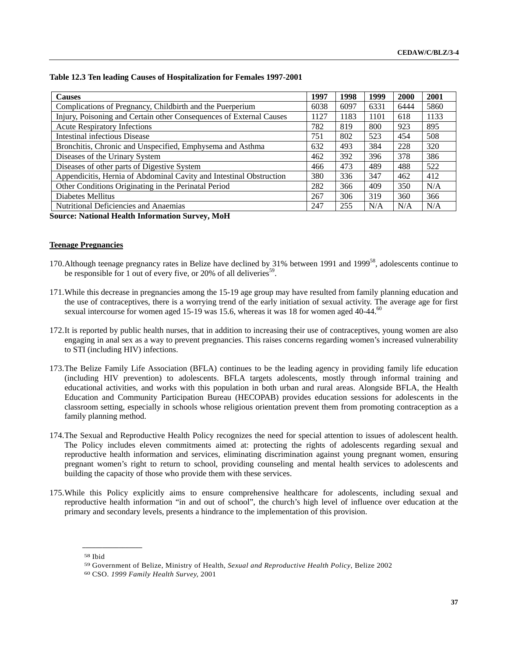# **Table 12.3 Ten leading Causes of Hospitalization for Females 1997-2001**

| <b>Causes</b>                                                       | 1997 | 1998 | 1999 | 2000 | 2001 |
|---------------------------------------------------------------------|------|------|------|------|------|
| Complications of Pregnancy, Childbirth and the Puerperium           | 6038 | 6097 | 6331 | 6444 | 5860 |
| Injury, Poisoning and Certain other Consequences of External Causes | 1127 | 1183 | 1101 | 618  | 1133 |
| <b>Acute Respiratory Infections</b>                                 | 782  | 819  | 800  | 923  | 895  |
| <b>Intestinal infectious Disease</b>                                | 751  | 802  | 523  | 454  | 508  |
| Bronchitis, Chronic and Unspecified, Emphysema and Asthma           | 632  | 493  | 384  | 228  | 320  |
| Diseases of the Urinary System                                      | 462  | 392  | 396  | 378  | 386  |
| Diseases of other parts of Digestive System                         | 466  | 473  | 489  | 488  | 522  |
| Appendicitis, Hernia of Abdominal Cavity and Intestinal Obstruction | 380  | 336  | 347  | 462  | 412  |
| Other Conditions Originating in the Perinatal Period                | 282  | 366  | 409  | 350  | N/A  |
| Diabetes Mellitus                                                   | 267  | 306  | 319  | 360  | 366  |
| Nutritional Deficiencies and Anaemias                               | 247  | 255  | N/A  | N/A  | N/A  |

**Source: National Health Information Survey, MoH**

## **Teenage Pregnancies**

- 170. Although teenage pregnancy rates in Belize have declined by 31% between 1991 and 1999<sup>58</sup>, adolescents continue to be responsible for 1 out of every five, or 20% of all deliveries<sup>59</sup>.
- 171.While this decrease in pregnancies among the 15-19 age group may have resulted from family planning education and the use of contraceptives, there is a worrying trend of the early initiation of sexual activity. The average age for first sexual intercourse for women aged 15-19 was 15.6, whereas it was 18 for women aged 40-44.<sup>60</sup>
- 172.It is reported by public health nurses, that in addition to increasing their use of contraceptives, young women are also engaging in anal sex as a way to prevent pregnancies. This raises concerns regarding women's increased vulnerability to STI (including HIV) infections.
- 173.The Belize Family Life Association (BFLA) continues to be the leading agency in providing family life education (including HIV prevention) to adolescents. BFLA targets adolescents, mostly through informal training and educational activities, and works with this population in both urban and rural areas. Alongside BFLA, the Health Education and Community Participation Bureau (HECOPAB) provides education sessions for adolescents in the classroom setting, especially in schools whose religious orientation prevent them from promoting contraception as a family planning method.
- 174.The Sexual and Reproductive Health Policy recognizes the need for special attention to issues of adolescent health. The Policy includes eleven commitments aimed at: protecting the rights of adolescents regarding sexual and reproductive health information and services, eliminating discrimination against young pregnant women, ensuring pregnant women's right to return to school, providing counseling and mental health services to adolescents and building the capacity of those who provide them with these services.
- 175.While this Policy explicitly aims to ensure comprehensive healthcare for adolescents, including sexual and reproductive health information "in and out of school", the church's high level of influence over education at the primary and secondary levels, presents a hindrance to the implementation of this provision.

<sup>58</sup> Ibid

<sup>59</sup> Government of Belize, Ministry of Health, *Sexual and Reproductive Health Policy*, Belize 2002

<sup>60</sup> CSO. *1999 Family Health Survey,* 2001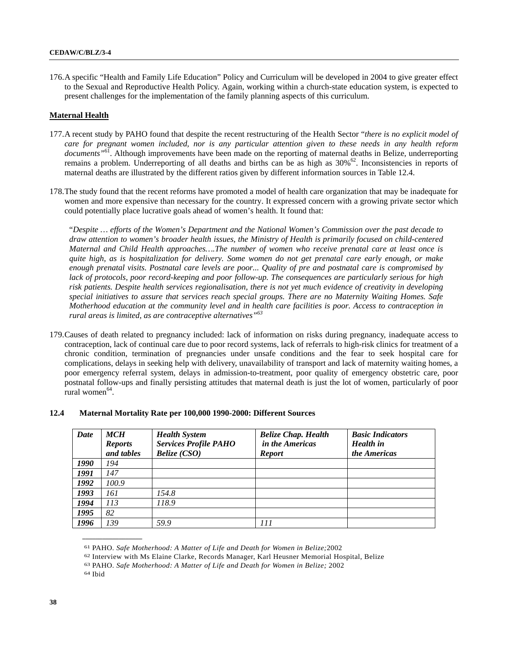176.A specific "Health and Family Life Education" Policy and Curriculum will be developed in 2004 to give greater effect to the Sexual and Reproductive Health Policy. Again, working within a church-state education system, is expected to present challenges for the implementation of the family planning aspects of this curriculum.

### **Maternal Health**

- 177.A recent study by PAHO found that despite the recent restructuring of the Health Sector "*there is no explicit model of care for pregnant women included, nor is any particular attention given to these needs in any health reform documents"*61. Although improvements have been made on the reporting of maternal deaths in Belize*,* underreporting remains a problem. Underreporting of all deaths and births can be as high as  $30\%$ <sup>62</sup>. Inconsistencies in reports of maternal deaths are illustrated by the different ratios given by different information sources in Table 12.4.
- 178.The study found that the recent reforms have promoted a model of health care organization that may be inadequate for women and more expensive than necessary for the country. It expressed concern with a growing private sector which could potentially place lucrative goals ahead of women's health. It found that:

"*Despite … efforts of the Women's Department and the National Women's Commission over the past decade to draw attention to women's broader health issues, the Ministry of Health is primarily focused on child-centered Maternal and Child Health approaches….The number of women who receive prenatal care at least once is quite high, as is hospitalization for delivery. Some women do not get prenatal care early enough, or make enough prenatal visits. Postnatal care levels are poor... Quality of pre and postnatal care is compromised by lack of protocols, poor record-keeping and poor follow-up. The consequences are particularly serious for high risk patients. Despite health services regionalisation, there is not yet much evidence of creativity in developing special initiatives to assure that services reach special groups. There are no Maternity Waiting Homes. Safe Motherhood education at the community level and in health care facilities is poor. Access to contraception in rural areas is limited, as are contraceptive alternatives"63*

179.Causes of death related to pregnancy included: lack of information on risks during pregnancy, inadequate access to contraception, lack of continual care due to poor record systems, lack of referrals to high-risk clinics for treatment of a chronic condition, termination of pregnancies under unsafe conditions and the fear to seek hospital care for complications, delays in seeking help with delivery, unavailability of transport and lack of maternity waiting homes, a poor emergency referral system, delays in admission-to-treatment, poor quality of emergency obstetric care, poor postnatal follow-ups and finally persisting attitudes that maternal death is just the lot of women, particularly of poor rural women $64$ .

| Date | <b>MCH</b>     | <b>Health System</b>         | <b>Belize Chap. Health</b> | <b>Basic Indicators</b> |
|------|----------------|------------------------------|----------------------------|-------------------------|
|      | <b>Reports</b> | <b>Services Profile PAHO</b> | in the Americas            | <b>Health</b> in        |
|      | and tables     | Belize $(CSO)$               | <b>Report</b>              | the Americas            |
| 1990 | 194            |                              |                            |                         |
| 1991 | 147            |                              |                            |                         |
| 1992 | 100.9          |                              |                            |                         |
| 1993 | 161            | 154.8                        |                            |                         |
| 1994 | 113            | 118.9                        |                            |                         |
| 1995 | 82             |                              |                            |                         |
| 1996 | 139            | 59.9                         | 111                        |                         |

## **12.4 Maternal Mortality Rate per 100,000 1990-2000: Different Sources**

64 Ibid

<sup>61</sup> PAHO. *Safe Motherhood: A Matter of Life and Death for Women in Belize;*2002

<sup>62</sup> Interview with Ms Elaine Clarke, Records Manager, Karl Heusner Memorial Hospital, Belize

<sup>63</sup> PAHO. *Safe Motherhood: A Matter of Life and Death for Women in Belize;* 2002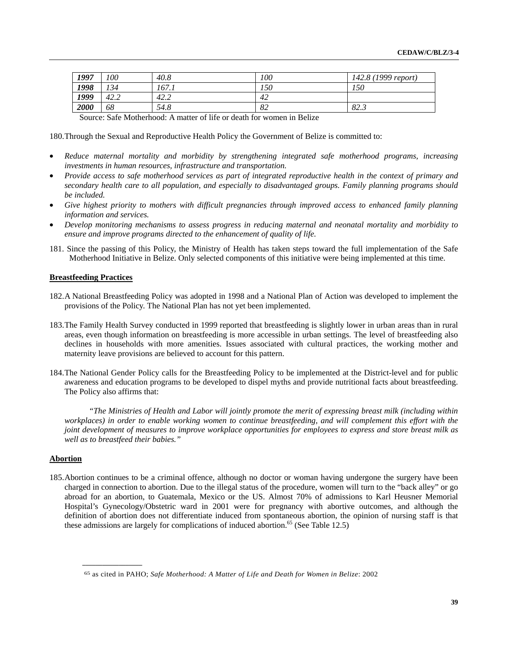| 1997 | 100  | 40.8  | 100 | 142.8 (1999 report) |
|------|------|-------|-----|---------------------|
| 1998 | 134  | 167.1 | 150 | 150                 |
| 1999 | 42.2 | 42.2  | 42  |                     |
| 2000 | 68   | 54.8  | 82  | 82.3                |

Source: Safe Motherhood: A matter of life or death for women in Belize

180.Through the Sexual and Reproductive Health Policy the Government of Belize is committed to:

- *Reduce maternal mortality and morbidity by strengthening integrated safe motherhood programs, increasing investments in human resources, infrastructure and transportation.*
- *Provide access to safe motherhood services as part of integrated reproductive health in the context of primary and secondary health care to all population, and especially to disadvantaged groups. Family planning programs should be included.*
- *Give highest priority to mothers with difficult pregnancies through improved access to enhanced family planning information and services.*
- *Develop monitoring mechanisms to assess progress in reducing maternal and neonatal mortality and morbidity to ensure and improve programs directed to the enhancement of quality of life.*
- 181. Since the passing of this Policy, the Ministry of Health has taken steps toward the full implementation of the Safe Motherhood Initiative in Belize. Only selected components of this initiative were being implemented at this time.

#### **Breastfeeding Practices**

- 182.A National Breastfeeding Policy was adopted in 1998 and a National Plan of Action was developed to implement the provisions of the Policy. The National Plan has not yet been implemented.
- 183.The Family Health Survey conducted in 1999 reported that breastfeeding is slightly lower in urban areas than in rural areas, even though information on breastfeeding is more accessible in urban settings. The level of breastfeeding also declines in households with more amenities. Issues associated with cultural practices, the working mother and maternity leave provisions are believed to account for this pattern.
- 184.The National Gender Policy calls for the Breastfeeding Policy to be implemented at the District-level and for public awareness and education programs to be developed to dispel myths and provide nutritional facts about breastfeeding. The Policy also affirms that:

*"The Ministries of Health and Labor will jointly promote the merit of expressing breast milk (including within workplaces) in order to enable working women to continue breastfeeding, and will complement this effort with the joint development of measures to improve workplace opportunities for employees to express and store breast milk as well as to breastfeed their babies."*

## **Abortion**

**\_\_\_\_\_\_\_\_\_\_\_\_\_\_\_\_\_\_**

185.Abortion continues to be a criminal offence, although no doctor or woman having undergone the surgery have been charged in connection to abortion. Due to the illegal status of the procedure, women will turn to the "back alley" or go abroad for an abortion, to Guatemala, Mexico or the US. Almost 70% of admissions to Karl Heusner Memorial Hospital's Gynecology/Obstetric ward in 2001 were for pregnancy with abortive outcomes, and although the definition of abortion does not differentiate induced from spontaneous abortion, the opinion of nursing staff is that these admissions are largely for complications of induced abortion.<sup>65</sup> (See Table 12.5)

<sup>65</sup> as cited in PAHO; *Safe Motherhood: A Matter of Life and Death for Women in Belize*: 2002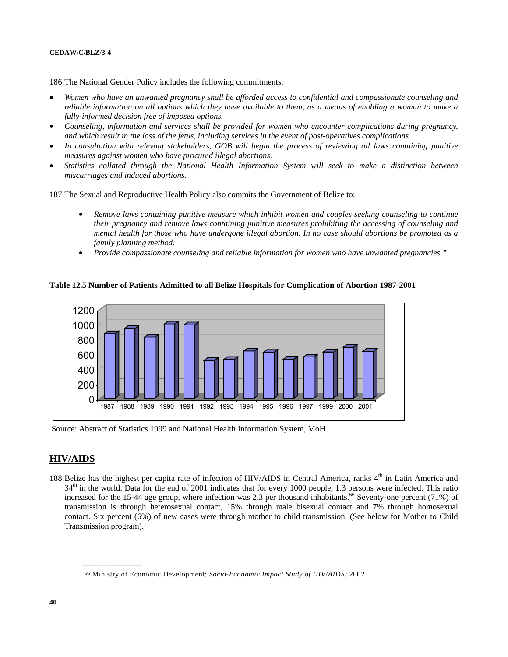186.The National Gender Policy includes the following commitments:

- *Women who have an unwanted pregnancy shall be afforded access to confidential and compassionate counseling and reliable information on all options which they have available to them, as a means of enabling a woman to make a fully-informed decision free of imposed options.*
- *Counseling, information and services shall be provided for women who encounter complications during pregnancy, and which result in the loss of the fetus, including services in the event of post-operatives complications.*
- *In consultation with relevant stakeholders, GOB will begin the process of reviewing all laws containing punitive measures against women who have procured illegal abortions.*
- *Statistics collated through the National Health Information System will seek to make a distinction between miscarriages and induced abortions.*

187.The Sexual and Reproductive Health Policy also commits the Government of Belize to:

- *Remove laws containing punitive measure which inhibit women and couples seeking counseling to continue their pregnancy and remove laws containing punitive measures prohibiting the accessing of counseling and mental health for those who have undergone illegal abortion. In no case should abortions be promoted as a family planning method.*
- *Provide compassionate counseling and reliable information for women who have unwanted pregnancies."*



### **Table 12.5 Number of Patients Admitted to all Belize Hospitals for Complication of Abortion 1987-2001**

Source: Abstract of Statistics 1999 and National Health Information System, MoH

# **HIV/AIDS**

**\_\_\_\_\_\_\_\_\_\_\_\_\_\_\_\_\_\_**

188.Belize has the highest per capita rate of infection of HIV/AIDS in Central America, ranks 4<sup>th</sup> in Latin America and  $34<sup>th</sup>$  in the world. Data for the end of 2001 indicates that for every 1000 people, 1.3 persons were infected. This ratio increased for the 15-44 age group, where infection was 2.3 per thousand inhabitants.<sup>66</sup> Seventy-one percent (71%) of transmission is through heterosexual contact, 15% through male bisexual contact and 7% through homosexual contact. Six percent (6%) of new cases were through mother to child transmission. (See below for Mother to Child Transmission program).

<sup>66</sup> Ministry of Economic Development; *Socio-Economic Impact Study of HIV/AIDS;* 2002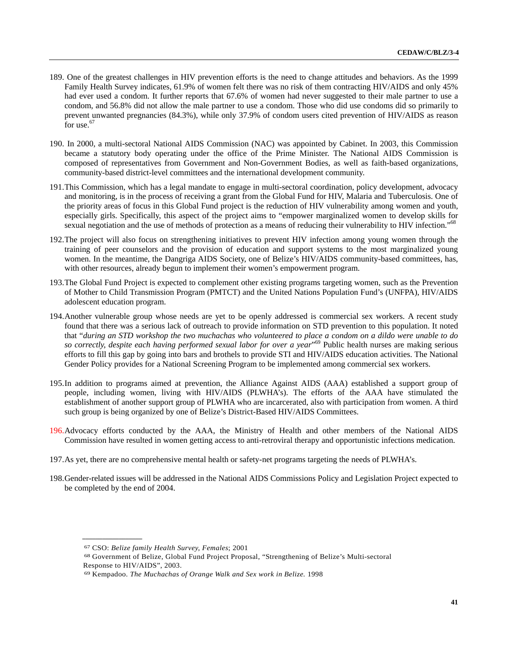- 189. One of the greatest challenges in HIV prevention efforts is the need to change attitudes and behaviors. As the 1999 Family Health Survey indicates, 61.9% of women felt there was no risk of them contracting HIV/AIDS and only 45% had ever used a condom. It further reports that 67.6% of women had never suggested to their male partner to use a condom, and 56.8% did not allow the male partner to use a condom. Those who did use condoms did so primarily to prevent unwanted pregnancies (84.3%), while only 37.9% of condom users cited prevention of HIV/AIDS as reason for use. $67$
- 190. In 2000, a multi-sectoral National AIDS Commission (NAC) was appointed by Cabinet. In 2003, this Commission became a statutory body operating under the office of the Prime Minister. The National AIDS Commission is composed of representatives from Government and Non-Government Bodies, as well as faith-based organizations, community-based district-level committees and the international development community.
- 191.This Commission, which has a legal mandate to engage in multi-sectoral coordination, policy development, advocacy and monitoring, is in the process of receiving a grant from the Global Fund for HIV, Malaria and Tuberculosis. One of the priority areas of focus in this Global Fund project is the reduction of HIV vulnerability among women and youth, especially girls. Specifically, this aspect of the project aims to "empower marginalized women to develop skills for sexual negotiation and the use of methods of protection as a means of reducing their vulnerability to HIV infection."<sup>68</sup>
- 192.The project will also focus on strengthening initiatives to prevent HIV infection among young women through the training of peer counselors and the provision of education and support systems to the most marginalized young women. In the meantime, the Dangriga AIDS Society, one of Belize's HIV/AIDS community-based committees, has, with other resources, already begun to implement their women's empowerment program.
- 193.The Global Fund Project is expected to complement other existing programs targeting women, such as the Prevention of Mother to Child Transmission Program (PMTCT) and the United Nations Population Fund's (UNFPA), HIV/AIDS adolescent education program.
- 194.Another vulnerable group whose needs are yet to be openly addressed is commercial sex workers. A recent study found that there was a serious lack of outreach to provide information on STD prevention to this population. It noted that "*during an STD workshop the two muchachas who volunteered to place a condom on a dildo were unable to do* so correctly, despite each having performed sexual labor for over a year<sup>,,69</sup> Public health nurses are making serious efforts to fill this gap by going into bars and brothels to provide STI and HIV/AIDS education activities. The National Gender Policy provides for a National Screening Program to be implemented among commercial sex workers.
- 195.In addition to programs aimed at prevention, the Alliance Against AIDS (AAA) established a support group of people, including women, living with HIV/AIDS (PLWHA's). The efforts of the AAA have stimulated the establishment of another support group of PLWHA who are incarcerated, also with participation from women. A third such group is being organized by one of Belize's District-Based HIV/AIDS Committees.
- 196.Advocacy efforts conducted by the AAA, the Ministry of Health and other members of the National AIDS Commission have resulted in women getting access to anti-retroviral therapy and opportunistic infections medication.
- 197.As yet, there are no comprehensive mental health or safety-net programs targeting the needs of PLWHA's.
- 198.Gender-related issues will be addressed in the National AIDS Commissions Policy and Legislation Project expected to be completed by the end of 2004.

<sup>67</sup> CSO: *Belize family Health Survey, Females*; 2001

<sup>68</sup> Government of Belize, Global Fund Project Proposal, "Strengthening of Belize's Multi-sectoral Response to HIV/AIDS", 2003.

<sup>69</sup> Kempadoo. *The Muchachas of Orange Walk and Sex work in Belize.* 1998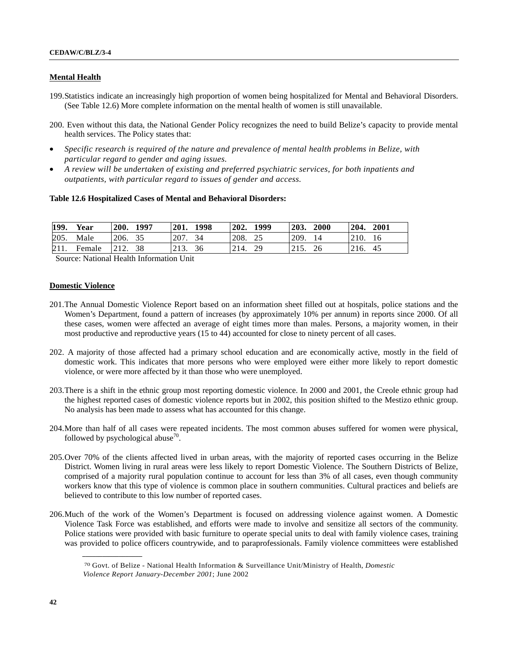# **Mental Health**

- 199.Statistics indicate an increasingly high proportion of women being hospitalized for Mental and Behavioral Disorders. (See Table 12.6) More complete information on the mental health of women is still unavailable.
- 200. Even without this data, the National Gender Policy recognizes the need to build Belize's capacity to provide mental health services. The Policy states that:
- *Specific research is required of the nature and prevalence of mental health problems in Belize, with particular regard to gender and aging issues.*
- *A review will be undertaken of existing and preferred psychiatric services, for both inpatients and outpatients, with particular regard to issues of gender and access.*

#### **Table 12.6 Hospitalized Cases of Mental and Behavioral Disorders:**

| 199. | Year   | 200.    | 1997 | 201.  | 1998 | 202. | 1999 | 203.        | <b>2000</b> | 204.    | 2001 |
|------|--------|---------|------|-------|------|------|------|-------------|-------------|---------|------|
| 205. | Male   | 206. 35 |      | 207.  |      | 208. |      | <b>209.</b> | 14          | 210.    | -16  |
| 211. | Female | 212. 38 |      | 1213. | - 36 | 214. | 29   | 215.        | 26          | 216. 45 |      |

Source: National Health Information Unit

### **Domestic Violence**

- 201.The Annual Domestic Violence Report based on an information sheet filled out at hospitals, police stations and the Women's Department, found a pattern of increases (by approximately 10% per annum) in reports since 2000. Of all these cases, women were affected an average of eight times more than males. Persons, a majority women, in their most productive and reproductive years (15 to 44) accounted for close to ninety percent of all cases.
- 202. A majority of those affected had a primary school education and are economically active, mostly in the field of domestic work. This indicates that more persons who were employed were either more likely to report domestic violence, or were more affected by it than those who were unemployed.
- 203.There is a shift in the ethnic group most reporting domestic violence. In 2000 and 2001, the Creole ethnic group had the highest reported cases of domestic violence reports but in 2002, this position shifted to the Mestizo ethnic group. No analysis has been made to assess what has accounted for this change.
- 204.More than half of all cases were repeated incidents. The most common abuses suffered for women were physical, followed by psychological abuse<sup>70</sup>.
- 205.Over 70% of the clients affected lived in urban areas, with the majority of reported cases occurring in the Belize District. Women living in rural areas were less likely to report Domestic Violence. The Southern Districts of Belize, comprised of a majority rural population continue to account for less than 3% of all cases, even though community workers know that this type of violence is common place in southern communities. Cultural practices and beliefs are believed to contribute to this low number of reported cases.
- 206.Much of the work of the Women's Department is focused on addressing violence against women. A Domestic Violence Task Force was established, and efforts were made to involve and sensitize all sectors of the community. Police stations were provided with basic furniture to operate special units to deal with family violence cases, training was provided to police officers countrywide, and to paraprofessionals. Family violence committees were established

<sup>70</sup> Govt. of Belize - National Health Information & Surveillance Unit/Ministry of Health, *Domestic Violence Report January-December 2001*; June 2002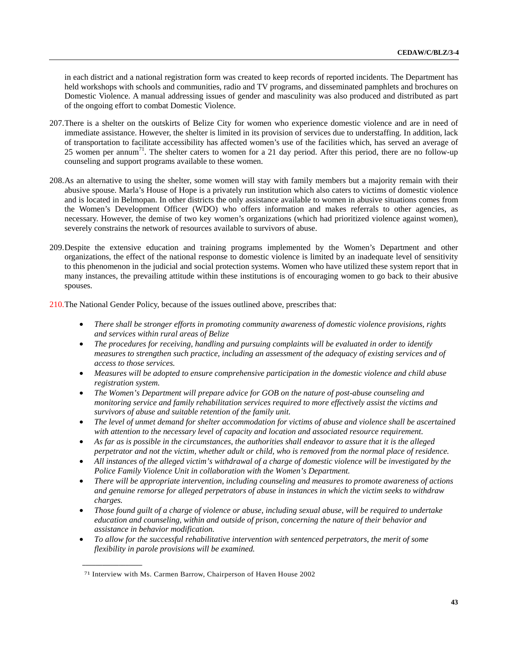in each district and a national registration form was created to keep records of reported incidents. The Department has held workshops with schools and communities, radio and TV programs, and disseminated pamphlets and brochures on Domestic Violence. A manual addressing issues of gender and masculinity was also produced and distributed as part of the ongoing effort to combat Domestic Violence.

- 207.There is a shelter on the outskirts of Belize City for women who experience domestic violence and are in need of immediate assistance. However, the shelter is limited in its provision of services due to understaffing. In addition, lack of transportation to facilitate accessibility has affected women's use of the facilities which, has served an average of 25 women per annum<sup>71</sup>. The shelter caters to women for a 21 day period. After this period, there are no follow-up counseling and support programs available to these women.
- 208.As an alternative to using the shelter, some women will stay with family members but a majority remain with their abusive spouse. Marla's House of Hope is a privately run institution which also caters to victims of domestic violence and is located in Belmopan. In other districts the only assistance available to women in abusive situations comes from the Women's Development Officer (WDO) who offers information and makes referrals to other agencies, as necessary. However, the demise of two key women's organizations (which had prioritized violence against women), severely constrains the network of resources available to survivors of abuse.
- 209.Despite the extensive education and training programs implemented by the Women's Department and other organizations, the effect of the national response to domestic violence is limited by an inadequate level of sensitivity to this phenomenon in the judicial and social protection systems. Women who have utilized these system report that in many instances, the prevailing attitude within these institutions is of encouraging women to go back to their abusive spouses.

210.The National Gender Policy, because of the issues outlined above, prescribes that:

- *There shall be stronger efforts in promoting community awareness of domestic violence provisions, rights and services within rural areas of Belize*
- *The procedures for receiving, handling and pursuing complaints will be evaluated in order to identify measures to strengthen such practice, including an assessment of the adequacy of existing services and of access to those services.*
- *Measures will be adopted to ensure comprehensive participation in the domestic violence and child abuse registration system.*
- *The Women's Department will prepare advice for GOB on the nature of post-abuse counseling and monitoring service and family rehabilitation services required to more effectively assist the victims and survivors of abuse and suitable retention of the family unit.*
- *The level of unmet demand for shelter accommodation for victims of abuse and violence shall be ascertained with attention to the necessary level of capacity and location and associated resource requirement.*
- *As far as is possible in the circumstances, the authorities shall endeavor to assure that it is the alleged perpetrator and not the victim, whether adult or child, who is removed from the normal place of residence.*
- *All instances of the alleged victim's withdrawal of a charge of domestic violence will be investigated by the Police Family Violence Unit in collaboration with the Women's Department.*
- *There will be appropriate intervention, including counseling and measures to promote awareness of actions and genuine remorse for alleged perpetrators of abuse in instances in which the victim seeks to withdraw charges.*
- *Those found guilt of a charge of violence or abuse, including sexual abuse, will be required to undertake education and counseling, within and outside of prison, concerning the nature of their behavior and assistance in behavior modification.*
- *To allow for the successful rehabilitative intervention with sentenced perpetrators, the merit of some flexibility in parole provisions will be examined.*

<sup>71</sup> Interview with Ms. Carmen Barrow, Chairperson of Haven House 2002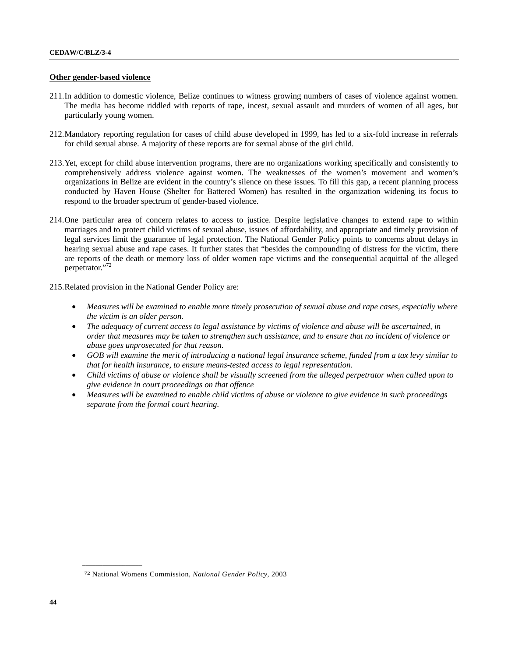## **Other gender-based violence**

- 211.In addition to domestic violence, Belize continues to witness growing numbers of cases of violence against women. The media has become riddled with reports of rape, incest, sexual assault and murders of women of all ages, but particularly young women.
- 212.Mandatory reporting regulation for cases of child abuse developed in 1999, has led to a six-fold increase in referrals for child sexual abuse. A majority of these reports are for sexual abuse of the girl child.
- 213.Yet, except for child abuse intervention programs, there are no organizations working specifically and consistently to comprehensively address violence against women. The weaknesses of the women's movement and women's organizations in Belize are evident in the country's silence on these issues. To fill this gap, a recent planning process conducted by Haven House (Shelter for Battered Women) has resulted in the organization widening its focus to respond to the broader spectrum of gender-based violence.
- 214.One particular area of concern relates to access to justice. Despite legislative changes to extend rape to within marriages and to protect child victims of sexual abuse, issues of affordability, and appropriate and timely provision of legal services limit the guarantee of legal protection. The National Gender Policy points to concerns about delays in hearing sexual abuse and rape cases. It further states that "besides the compounding of distress for the victim, there are reports of the death or memory loss of older women rape victims and the consequential acquittal of the alleged perpetrator."72
- 215.Related provision in the National Gender Policy are:
	- *Measures will be examined to enable more timely prosecution of sexual abuse and rape cases, especially where the victim is an older person.*
	- *The adequacy of current access to legal assistance by victims of violence and abuse will be ascertained, in order that measures may be taken to strengthen such assistance, and to ensure that no incident of violence or abuse goes unprosecuted for that reason.*
	- *GOB will examine the merit of introducing a national legal insurance scheme, funded from a tax levy similar to that for health insurance, to ensure means-tested access to legal representation.*
	- *Child victims of abuse or violence shall be visually screened from the alleged perpetrator when called upon to give evidence in court proceedings on that offence*
	- *Measures will be examined to enable child victims of abuse or violence to give evidence in such proceedings separate from the formal court hearing.*

<sup>72</sup> National Womens Commission*, National Gender Policy*, 2003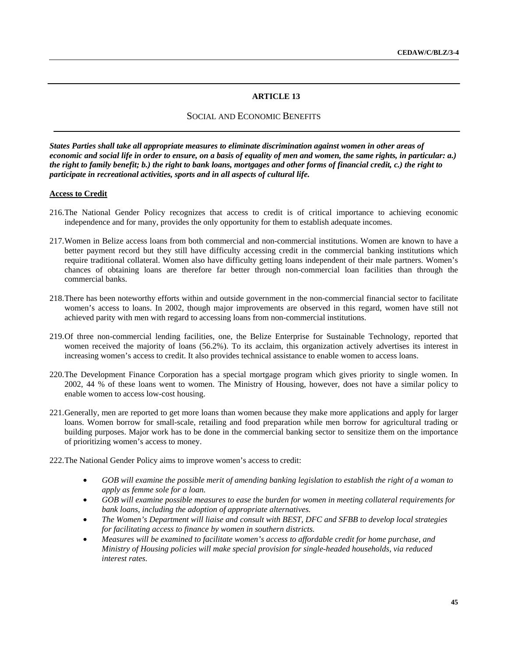# SOCIAL AND ECONOMIC BENEFITS

*States Parties shall take all appropriate measures to eliminate discrimination against women in other areas of economic and social life in order to ensure, on a basis of equality of men and women, the same rights, in particular: a.) the right to family benefit; b.) the right to bank loans, mortgages and other forms of financial credit, c.) the right to participate in recreational activities, sports and in all aspects of cultural life.*

#### **Access to Credit**

- 216.The National Gender Policy recognizes that access to credit is of critical importance to achieving economic independence and for many, provides the only opportunity for them to establish adequate incomes.
- 217.Women in Belize access loans from both commercial and non-commercial institutions. Women are known to have a better payment record but they still have difficulty accessing credit in the commercial banking institutions which require traditional collateral. Women also have difficulty getting loans independent of their male partners. Women's chances of obtaining loans are therefore far better through non-commercial loan facilities than through the commercial banks.
- 218.There has been noteworthy efforts within and outside government in the non-commercial financial sector to facilitate women's access to loans. In 2002, though major improvements are observed in this regard, women have still not achieved parity with men with regard to accessing loans from non-commercial institutions.
- 219.Of three non-commercial lending facilities, one, the Belize Enterprise for Sustainable Technology, reported that women received the majority of loans (56.2%). To its acclaim, this organization actively advertises its interest in increasing women's access to credit. It also provides technical assistance to enable women to access loans.
- 220.The Development Finance Corporation has a special mortgage program which gives priority to single women. In 2002, 44 % of these loans went to women. The Ministry of Housing, however, does not have a similar policy to enable women to access low-cost housing.
- 221.Generally, men are reported to get more loans than women because they make more applications and apply for larger loans. Women borrow for small-scale, retailing and food preparation while men borrow for agricultural trading or building purposes. Major work has to be done in the commercial banking sector to sensitize them on the importance of prioritizing women's access to money.
- 222.The National Gender Policy aims to improve women's access to credit:
	- *GOB will examine the possible merit of amending banking legislation to establish the right of a woman to apply as femme sole for a loan.*
	- *GOB will examine possible measures to ease the burden for women in meeting collateral requirements for bank loans, including the adoption of appropriate alternatives.*
	- *The Women's Department will liaise and consult with BEST, DFC and SFBB to develop local strategies for facilitating access to finance by women in southern districts.*
	- *Measures will be examined to facilitate women's access to affordable credit for home purchase, and Ministry of Housing policies will make special provision for single-headed households, via reduced interest rates.*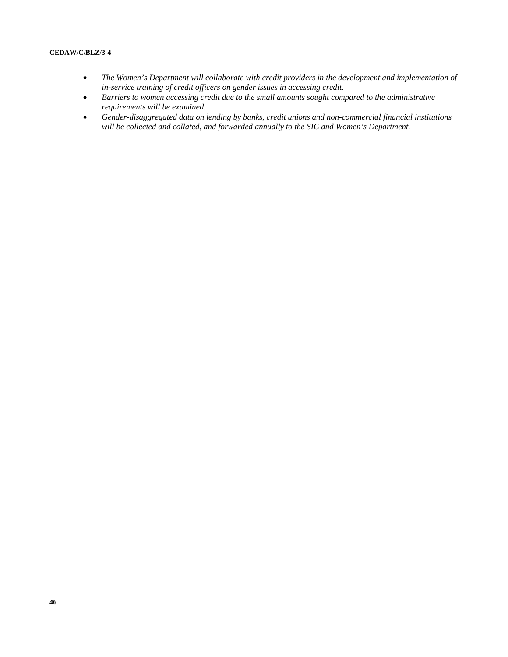- *The Women's Department will collaborate with credit providers in the development and implementation of in-service training of credit officers on gender issues in accessing credit.*
- *Barriers to women accessing credit due to the small amounts sought compared to the administrative requirements will be examined.*
- *Gender-disaggregated data on lending by banks, credit unions and non-commercial financial institutions will be collected and collated, and forwarded annually to the SIC and Women's Department.*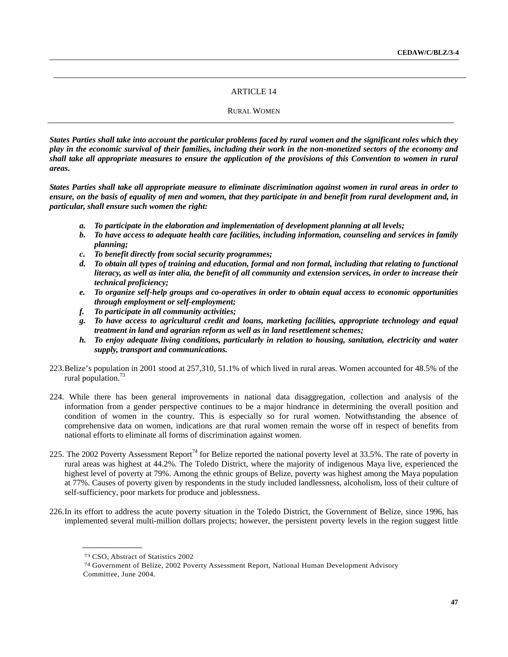#### RURAL WOMEN

*States Parties shall take into account the particular problems faced by rural women and the significant roles which they play in the economic survival of their families, including their work in the non-monetized sectors of the economy and shall take all appropriate measures to ensure the application of the provisions of this Convention to women in rural areas.*

*States Parties shall take all appropriate measure to eliminate discrimination against women in rural areas in order to ensure, on the basis of equality of men and women, that they participate in and benefit from rural development and, in particular, shall ensure such women the right:*

- *a. To participate in the elaboration and implementation of development planning at all levels;*
- *b. To have access to adequate health care facilities, including information, counseling and services in family planning;*
- *c. To benefit directly from social security programmes;*
- *d. To obtain all types of training and education, formal and non formal, including that relating to functional literacy, as well as inter alia, the benefit of all community and extension services, in order to increase their technical proficiency;*
- *e. To organize self-help groups and co-operatives in order to obtain equal access to economic opportunities through employment or self-employment;*
- *f. To participate in all community activities;*
- *g. To have access to agricultural credit and loans, marketing facilities, appropriate technology and equal treatment in land and agrarian reform as well as in land resettlement schemes;*
- *h. To enjoy adequate living conditions, particularly in relation to housing, sanitation, electricity and water supply, transport and communications.*
- 223.Belize's population in 2001 stood at 257,310, 51.1% of which lived in rural areas. Women accounted for 48.5% of the rural population.<sup>73</sup>
- 224. While there has been general improvements in national data disaggregation, collection and analysis of the information from a gender perspective continues to be a major hindrance in determining the overall position and condition of women in the country. This is especially so for rural women. Notwithstanding the absence of comprehensive data on women, indications are that rural women remain the worse off in respect of benefits from national efforts to eliminate all forms of discrimination against women.
- 225. The 2002 Poverty Assessment Report<sup>74</sup> for Belize reported the national poverty level at  $33.5\%$ . The rate of poverty in rural areas was highest at 44.2%. The Toledo District, where the majority of indigenous Maya live, experienced the highest level of poverty at 79%. Among the ethnic groups of Belize, poverty was highest among the Maya population at 77%. Causes of poverty given by respondents in the study included landlessness, alcoholism, loss of their culture of self-sufficiency, poor markets for produce and joblessness.
- 226.In its effort to address the acute poverty situation in the Toledo District, the Government of Belize, since 1996, has implemented several multi-million dollars projects; however, the persistent poverty levels in the region suggest little

<sup>73</sup> CSO, Abstract of Statistics 2002

<sup>74</sup> Government of Belize, 2002 Poverty Assessment Report, National Human Development Advisory Committee, June 2004.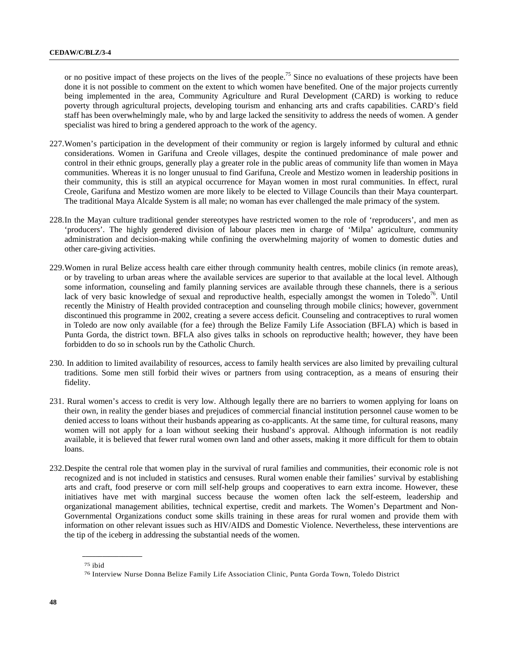or no positive impact of these projects on the lives of the people.<sup>75</sup> Since no evaluations of these projects have been done it is not possible to comment on the extent to which women have benefited. One of the major projects currently being implemented in the area, Community Agriculture and Rural Development (CARD) is working to reduce poverty through agricultural projects, developing tourism and enhancing arts and crafts capabilities. CARD's field staff has been overwhelmingly male, who by and large lacked the sensitivity to address the needs of women. A gender specialist was hired to bring a gendered approach to the work of the agency.

- 227.Women's participation in the development of their community or region is largely informed by cultural and ethnic considerations. Women in Garifuna and Creole villages, despite the continued predominance of male power and control in their ethnic groups, generally play a greater role in the public areas of community life than women in Maya communities. Whereas it is no longer unusual to find Garifuna, Creole and Mestizo women in leadership positions in their community, this is still an atypical occurrence for Mayan women in most rural communities. In effect, rural Creole, Garifuna and Mestizo women are more likely to be elected to Village Councils than their Maya counterpart. The traditional Maya Alcalde System is all male; no woman has ever challenged the male primacy of the system.
- 228.In the Mayan culture traditional gender stereotypes have restricted women to the role of 'reproducers', and men as 'producers'. The highly gendered division of labour places men in charge of 'Milpa' agriculture, community administration and decision-making while confining the overwhelming majority of women to domestic duties and other care-giving activities.
- 229.Women in rural Belize access health care either through community health centres, mobile clinics (in remote areas), or by traveling to urban areas where the available services are superior to that available at the local level. Although some information, counseling and family planning services are available through these channels, there is a serious lack of very basic knowledge of sexual and reproductive health, especially amongst the women in Toledo<sup>76</sup>. Until recently the Ministry of Health provided contraception and counseling through mobile clinics; however, government discontinued this programme in 2002, creating a severe access deficit. Counseling and contraceptives to rural women in Toledo are now only available (for a fee) through the Belize Family Life Association (BFLA) which is based in Punta Gorda, the district town. BFLA also gives talks in schools on reproductive health; however, they have been forbidden to do so in schools run by the Catholic Church.
- 230. In addition to limited availability of resources, access to family health services are also limited by prevailing cultural traditions. Some men still forbid their wives or partners from using contraception, as a means of ensuring their fidelity.
- 231. Rural women's access to credit is very low. Although legally there are no barriers to women applying for loans on their own, in reality the gender biases and prejudices of commercial financial institution personnel cause women to be denied access to loans without their husbands appearing as co-applicants. At the same time, for cultural reasons, many women will not apply for a loan without seeking their husband's approval. Although information is not readily available, it is believed that fewer rural women own land and other assets, making it more difficult for them to obtain loans.
- 232.Despite the central role that women play in the survival of rural families and communities, their economic role is not recognized and is not included in statistics and censuses. Rural women enable their families' survival by establishing arts and craft, food preserve or corn mill self-help groups and cooperatives to earn extra income. However, these initiatives have met with marginal success because the women often lack the self-esteem, leadership and organizational management abilities, technical expertise, credit and markets. The Women's Department and Non-Governmental Organizations conduct some skills training in these areas for rural women and provide them with information on other relevant issues such as HIV/AIDS and Domestic Violence. Nevertheless, these interventions are the tip of the iceberg in addressing the substantial needs of the women.

<sup>75</sup> ibid

<sup>76</sup> Interview Nurse Donna Belize Family Life Association Clinic, Punta Gorda Town, Toledo District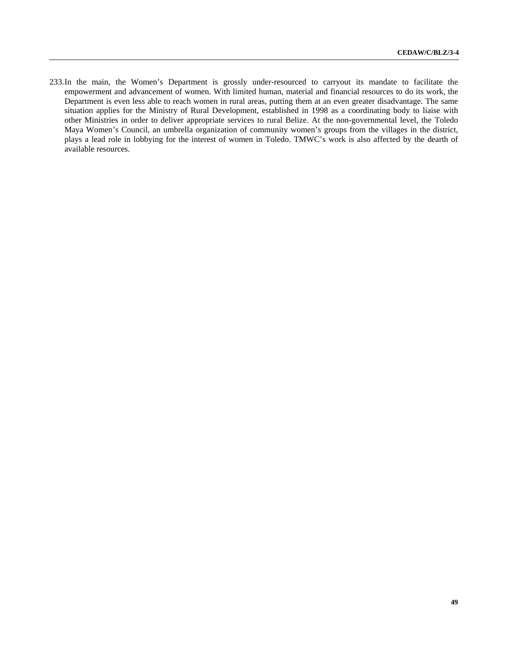233.In the main, the Women's Department is grossly under-resourced to carryout its mandate to facilitate the empowerment and advancement of women. With limited human, material and financial resources to do its work, the Department is even less able to reach women in rural areas, putting them at an even greater disadvantage. The same situation applies for the Ministry of Rural Development, established in 1998 as a coordinating body to liaise with other Ministries in order to deliver appropriate services to rural Belize. At the non-governmental level, the Toledo Maya Women's Council, an umbrella organization of community women's groups from the villages in the district, plays a lead role in lobbying for the interest of women in Toledo. TMWC's work is also affected by the dearth of available resources.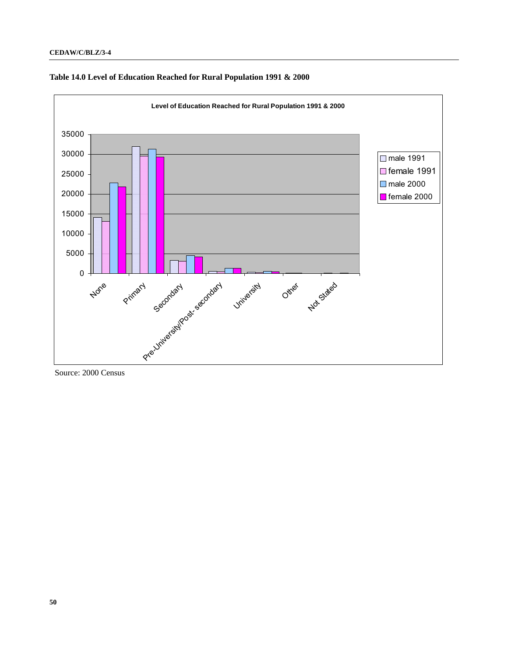#### **CEDAW/C/BLZ/3-4**



# **Table 14.0 Level of Education Reached for Rural Population 1991 & 2000**

Source: 2000 Census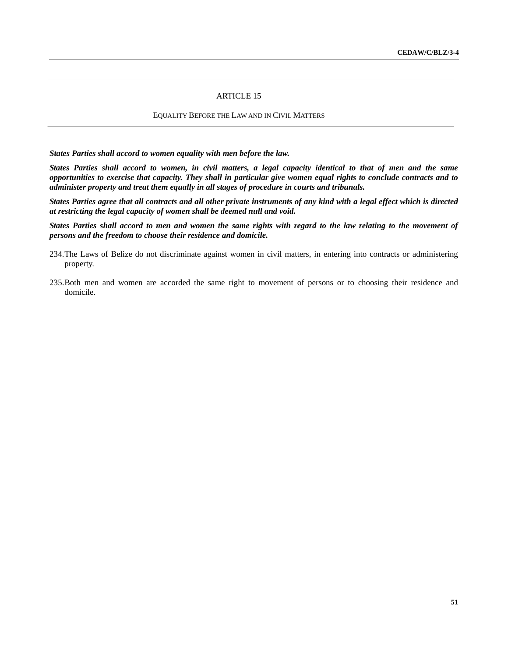#### EQUALITY BEFORE THE LAW AND IN CIVIL MATTERS

*States Parties shall accord to women equality with men before the law.*

*States Parties shall accord to women, in civil matters, a legal capacity identical to that of men and the same opportunities to exercise that capacity. They shall in particular give women equal rights to conclude contracts and to administer property and treat them equally in all stages of procedure in courts and tribunals.*

*States Parties agree that all contracts and all other private instruments of any kind with a legal effect which is directed at restricting the legal capacity of women shall be deemed null and void.*

*States Parties shall accord to men and women the same rights with regard to the law relating to the movement of persons and the freedom to choose their residence and domicile.*

- 234.The Laws of Belize do not discriminate against women in civil matters, in entering into contracts or administering property.
- 235.Both men and women are accorded the same right to movement of persons or to choosing their residence and domicile.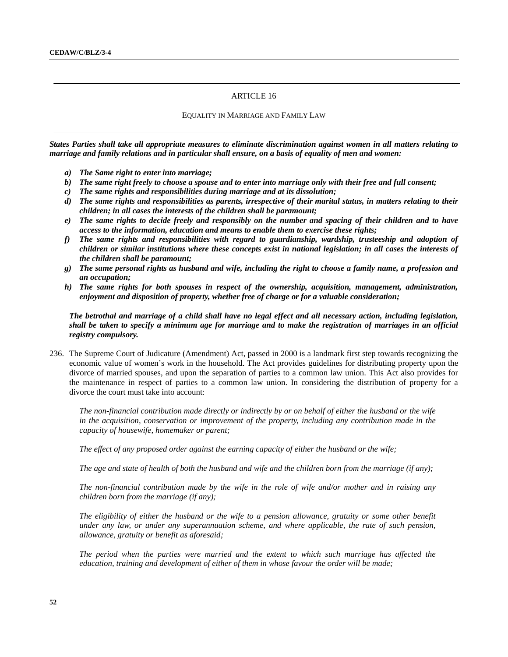#### EQUALITY IN MARRIAGE AND FAMILY LAW

*States Parties shall take all appropriate measures to eliminate discrimination against women in all matters relating to marriage and family relations and in particular shall ensure, on a basis of equality of men and women:*

- *a) The Same right to enter into marriage;*
- *b) The same right freely to choose a spouse and to enter into marriage only with their free and full consent;*
- *c) The same rights and responsibilities during marriage and at its dissolution;*
- *d) The same rights and responsibilities as parents, irrespective of their marital status, in matters relating to their children; in all cases the interests of the children shall be paramount;*
- *e) The same rights to decide freely and responsibly on the number and spacing of their children and to have access to the information, education and means to enable them to exercise these rights;*
- *f) The same rights and responsibilities with regard to guardianship, wardship, trusteeship and adoption of children or similar institutions where these concepts exist in national legislation; in all cases the interests of the children shall be paramount;*
- *g) The same personal rights as husband and wife, including the right to choose a family name, a profession and an occupation;*
- *h) The same rights for both spouses in respect of the ownership, acquisition, management, administration, enjoyment and disposition of property, whether free of charge or for a valuable consideration;*

*The betrothal and marriage of a child shall have no legal effect and all necessary action, including legislation, shall be taken to specify a minimum age for marriage and to make the registration of marriages in an official registry compulsory.*

236. The Supreme Court of Judicature (Amendment) Act, passed in 2000 is a landmark first step towards recognizing the economic value of women's work in the household. The Act provides guidelines for distributing property upon the divorce of married spouses, and upon the separation of parties to a common law union. This Act also provides for the maintenance in respect of parties to a common law union. In considering the distribution of property for a divorce the court must take into account:

*The non-financial contribution made directly or indirectly by or on behalf of either the husband or the wife in the acquisition, conservation or improvement of the property, including any contribution made in the capacity of housewife, homemaker or parent;*

*The effect of any proposed order against the earning capacity of either the husband or the wife;*

*The age and state of health of both the husband and wife and the children born from the marriage (if any);*

*The non-financial contribution made by the wife in the role of wife and/or mother and in raising any children born from the marriage (if any);*

*The eligibility of either the husband or the wife to a pension allowance, gratuity or some other benefit under any law, or under any superannuation scheme, and where applicable, the rate of such pension, allowance, gratuity or benefit as aforesaid;*

*The period when the parties were married and the extent to which such marriage has affected the education, training and development of either of them in whose favour the order will be made;*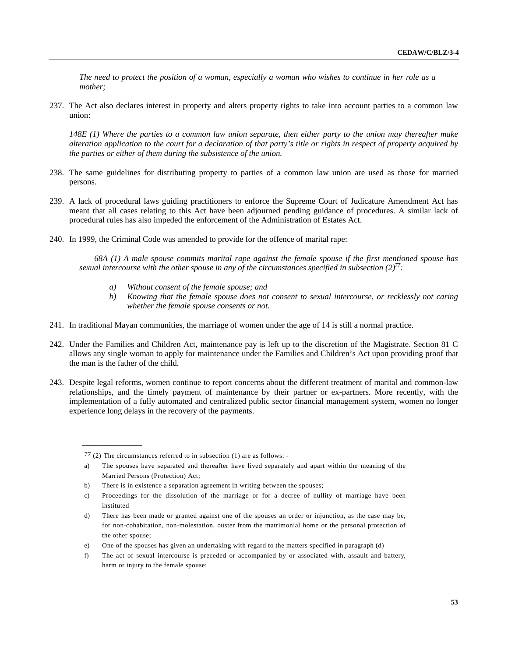*The need to protect the position of a woman, especially a woman who wishes to continue in her role as a mother;*

237. The Act also declares interest in property and alters property rights to take into account parties to a common law union:

*148E (1) Where the parties to a common law union separate, then either party to the union may thereafter make alteration application to the court for a declaration of that party's title or rights in respect of property acquired by the parties or either of them during the subsistence of the union.*

- 238. The same guidelines for distributing property to parties of a common law union are used as those for married persons.
- 239. A lack of procedural laws guiding practitioners to enforce the Supreme Court of Judicature Amendment Act has meant that all cases relating to this Act have been adjourned pending guidance of procedures. A similar lack of procedural rules has also impeded the enforcement of the Administration of Estates Act.
- 240. In 1999, the Criminal Code was amended to provide for the offence of marital rape:

*68A (1) A male spouse commits marital rape against the female spouse if the first mentioned spouse has sexual intercourse with the other spouse in any of the circumstances specified in subsection (2)77:*

- *a) Without consent of the female spouse; and*
- *b) Knowing that the female spouse does not consent to sexual intercourse, or recklessly not caring whether the female spouse consents or not.*
- 241. In traditional Mayan communities, the marriage of women under the age of 14 is still a normal practice.
- 242. Under the Families and Children Act, maintenance pay is left up to the discretion of the Magistrate. Section 81 C allows any single woman to apply for maintenance under the Families and Children's Act upon providing proof that the man is the father of the child.
- 243. Despite legal reforms, women continue to report concerns about the different treatment of marital and common-law relationships, and the timely payment of maintenance by their partner or ex-partners. More recently, with the implementation of a fully automated and centralized public sector financial management system, women no longer experience long delays in the recovery of the payments.

- a) The spouses have separated and thereafter have lived separately and apart within the meaning of the Married Persons (Protection) Act;
- b) There is in existence a separation agreement in writing between the spouses;
- c) Proceedings for the dissolution of the marriage or for a decree of nullity of marriage have been instituted
- d) There has been made or granted against one of the spouses an order or injunction, as the case may be, for non-cohabitation, non-molestation, ouster from the matrimonial home or the personal protection of the other spouse;
- e) One of the spouses has given an undertaking with regard to the matters specified in paragraph (d)
- f) The act of sexual intercourse is preceded or accompanied by or associated with, assault and battery, harm or injury to the female spouse;

<sup>77 (2)</sup> The circumstances referred to in subsection (1) are as follows: -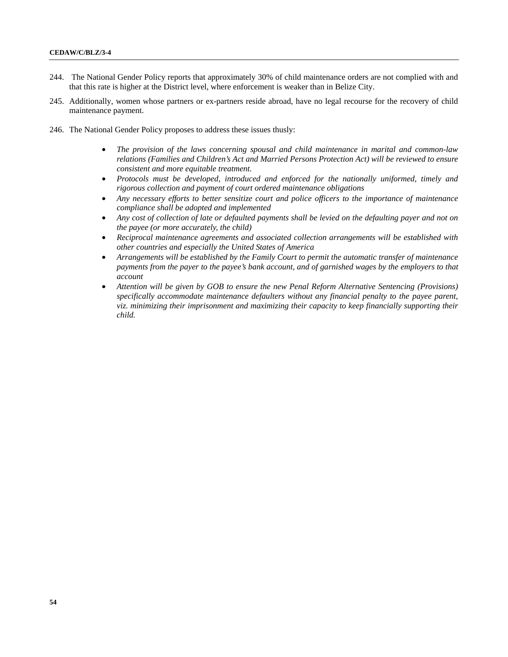- 244. The National Gender Policy reports that approximately 30% of child maintenance orders are not complied with and that this rate is higher at the District level, where enforcement is weaker than in Belize City.
- 245. Additionally, women whose partners or ex-partners reside abroad, have no legal recourse for the recovery of child maintenance payment.
- 246. The National Gender Policy proposes to address these issues thusly:
	- *The provision of the laws concerning spousal and child maintenance in marital and common-law relations (Families and Children's Act and Married Persons Protection Act) will be reviewed to ensure consistent and more equitable treatment.*
	- *Protocols must be developed, introduced and enforced for the nationally uniformed, timely and rigorous collection and payment of court ordered maintenance obligations*
	- *Any necessary efforts to better sensitize court and police officers to the importance of maintenance compliance shall be adopted and implemented*
	- *Any cost of collection of late or defaulted payments shall be levied on the defaulting payer and not on the payee (or more accurately, the child)*
	- *Reciprocal maintenance agreements and associated collection arrangements will be established with other countries and especially the United States of America*
	- *Arrangements will be established by the Family Court to permit the automatic transfer of maintenance payments from the payer to the payee's bank account, and of garnished wages by the employers to that account*
	- *Attention will be given by GOB to ensure the new Penal Reform Alternative Sentencing (Provisions) specifically accommodate maintenance defaulters without any financial penalty to the payee parent, viz. minimizing their imprisonment and maximizing their capacity to keep financially supporting their child.*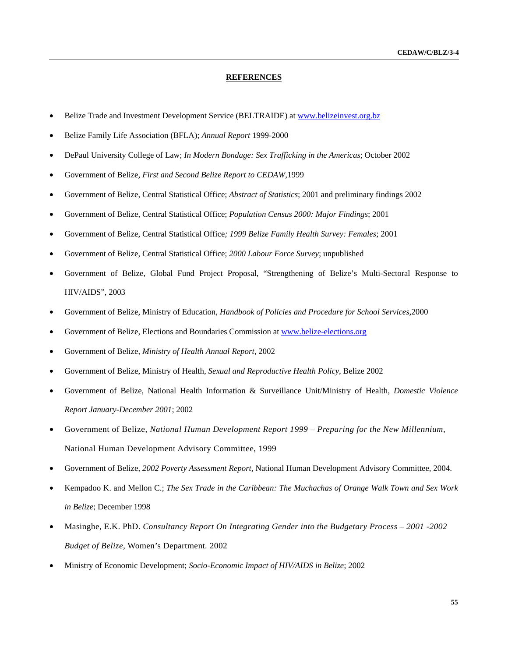## **REFERENCES**

- Belize Trade and Investment Development Service (BELTRAIDE) at www.belizeinvest.org.bz
- Belize Family Life Association (BFLA); *Annual Report* 1999-2000
- DePaul University College of Law; *In Modern Bondage: Sex Trafficking in the Americas*; October 2002
- Government of Belize*, First and Second Belize Report to CEDAW,*1999
- Government of Belize, Central Statistical Office; *Abstract of Statistics*; 2001 and preliminary findings 2002
- Government of Belize, Central Statistical Office; *Population Census 2000: Major Findings*; 2001
- Government of Belize, Central Statistical Office*; 1999 Belize Family Health Survey: Females*; 2001
- Government of Belize, Central Statistical Office; *2000 Labour Force Survey*; unpublished
- Government of Belize, Global Fund Project Proposal, "Strengthening of Belize's Multi-Sectoral Response to HIV/AIDS", 2003
- Government of Belize, Ministry of Education, *Handbook of Policies and Procedure for School Services,*2000
- Government of Belize, Elections and Boundaries Commission at www.belize-elections.org
- Government of Belize, *Ministry of Health Annual Report*, 2002
- Government of Belize, Ministry of Health, *Sexual and Reproductive Health Policy*, Belize 2002
- Government of Belize, National Health Information & Surveillance Unit/Ministry of Health, *Domestic Violence Report January-December 2001*; 2002
- Government of Belize, *National Human Development Report 1999 Preparing for the New Millennium*, National Human Development Advisory Committee, 1999
- Government of Belize, *2002 Poverty Assessment Report*, National Human Development Advisory Committee, 2004.
- Kempadoo K. and Mellon C.; *The Sex Trade in the Caribbean: The Muchachas of Orange Walk Town and Sex Work in Belize*; December 1998
- Masinghe, E.K. PhD. *Consultancy Report On Integrating Gender into the Budgetary Process 2001 -2002 Budget of Belize,* Women's Department*.* 2002
- Ministry of Economic Development; *Socio-Economic Impact of HIV/AIDS in Belize*; 2002